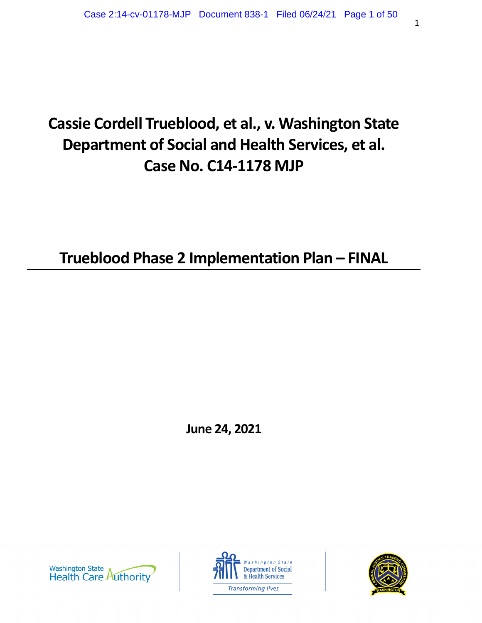# **Cassie Cordell Trueblood, et al., v. Washington State Department of Social and Health Services, et al. Case No. C14-1178 MJP**

**Trueblood Phase 2 Implementation Plan – FINAL** 

**June 24, 2021** 





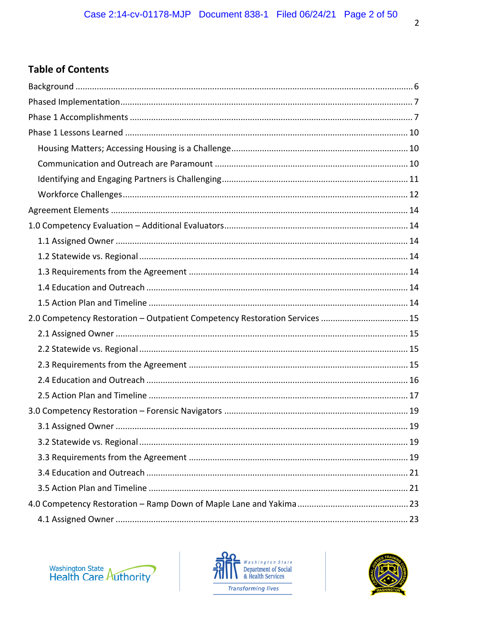# **Table of Contents**

| 2.0 Competency Restoration - Outpatient Competency Restoration Services  15 |  |
|-----------------------------------------------------------------------------|--|
|                                                                             |  |
|                                                                             |  |
|                                                                             |  |
|                                                                             |  |
|                                                                             |  |
|                                                                             |  |
|                                                                             |  |
|                                                                             |  |
|                                                                             |  |
|                                                                             |  |
|                                                                             |  |
|                                                                             |  |
|                                                                             |  |





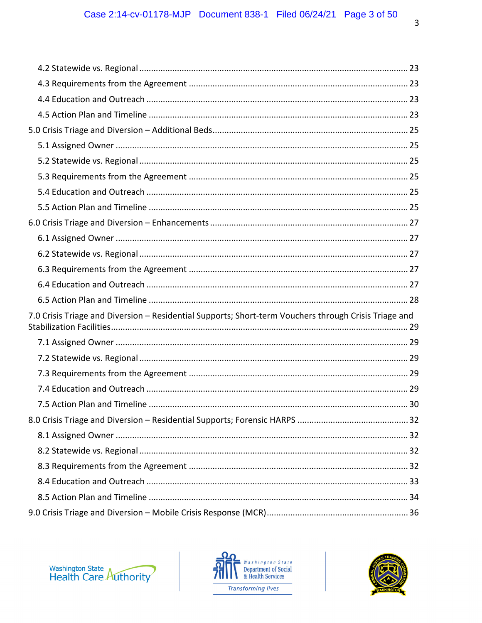| 7.0 Crisis Triage and Diversion - Residential Supports; Short-term Vouchers through Crisis Triage and |  |
|-------------------------------------------------------------------------------------------------------|--|
|                                                                                                       |  |
|                                                                                                       |  |
|                                                                                                       |  |
|                                                                                                       |  |
|                                                                                                       |  |
|                                                                                                       |  |
|                                                                                                       |  |
|                                                                                                       |  |
|                                                                                                       |  |
|                                                                                                       |  |
|                                                                                                       |  |



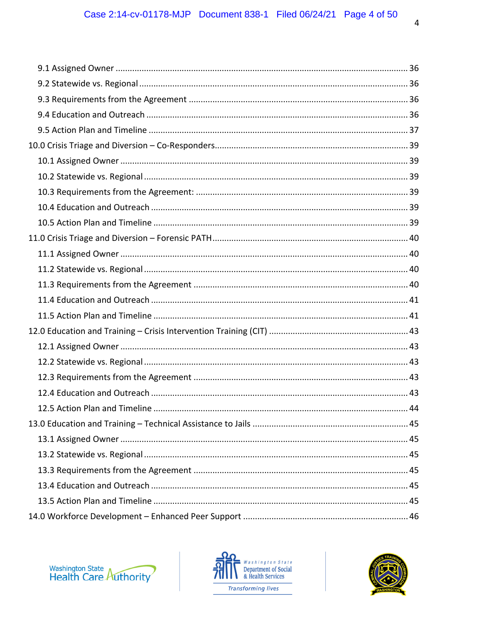

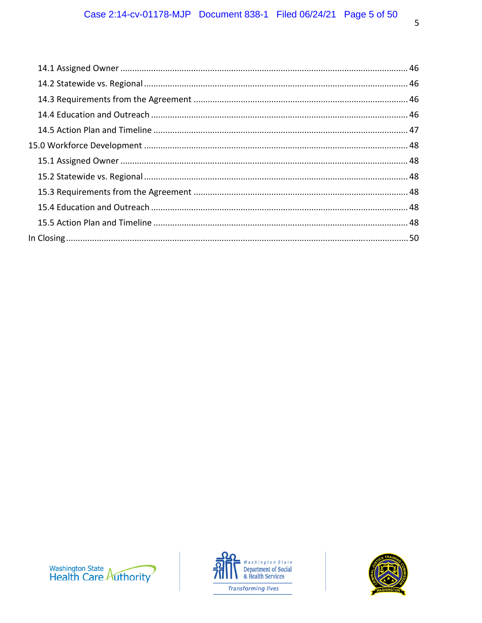



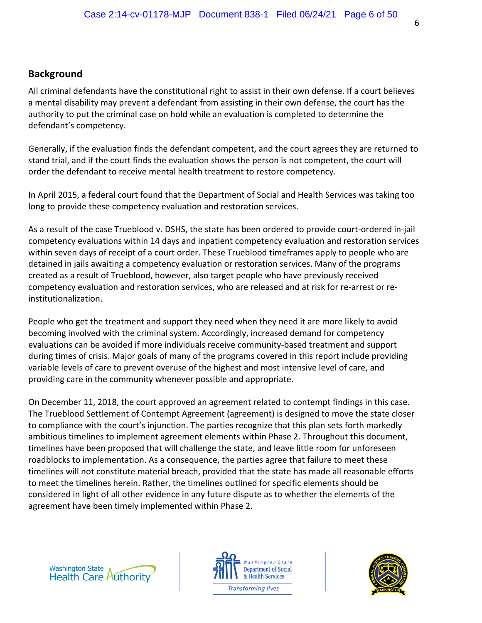# **Background**

All criminal defendants have the constitutional right to assist in their own defense. If a court believes a mental disability may prevent a defendant from assisting in their own defense, the court has the authority to put the criminal case on hold while an evaluation is completed to determine the defendant's competency.

Generally, if the evaluation finds the defendant competent, and the court agrees they are returned to stand trial, and if the court finds the evaluation shows the person is not competent, the court will order the defendant to receive mental health treatment to restore competency.

In April 2015, a federal court found that the Department of Social and Health Services was taking too long to provide these competency evaluation and restoration services.

As a result of the case Trueblood v. DSHS, the state has been ordered to provide court‐ordered in‐jail competency evaluations within 14 days and inpatient competency evaluation and restoration services within seven days of receipt of a court order. These Trueblood timeframes apply to people who are detained in jails awaiting a competency evaluation or restoration services. Many of the programs created as a result of Trueblood, however, also target people who have previously received competency evaluation and restoration services, who are released and at risk for re‐arrest or re‐ institutionalization.

People who get the treatment and support they need when they need it are more likely to avoid becoming involved with the criminal system. Accordingly, increased demand for competency evaluations can be avoided if more individuals receive community‐based treatment and support during times of crisis. Major goals of many of the programs covered in this report include providing variable levels of care to prevent overuse of the highest and most intensive level of care, and providing care in the community whenever possible and appropriate.

On December 11, 2018, the court approved an agreement related to contempt findings in this case. The Trueblood Settlement of Contempt Agreement (agreement) is designed to move the state closer to compliance with the court's injunction. The parties recognize that this plan sets forth markedly ambitious timelines to implement agreement elements within Phase 2. Throughout this document, timelines have been proposed that will challenge the state, and leave little room for unforeseen roadblocks to implementation. As a consequence, the parties agree that failure to meet these timelines will not constitute material breach, provided that the state has made all reasonable efforts to meet the timelines herein. Rather, the timelines outlined for specific elements should be considered in light of all other evidence in any future dispute as to whether the elements of the agreement have been timely implemented within Phase 2.





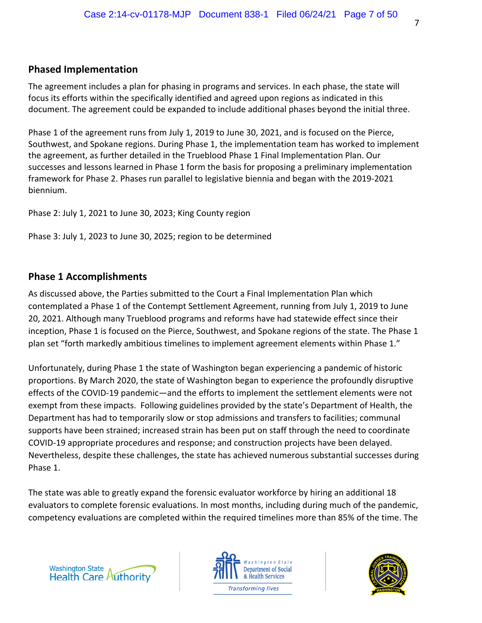## **Phased Implementation**

The agreement includes a plan for phasing in programs and services. In each phase, the state will focus its efforts within the specifically identified and agreed upon regions as indicated in this document. The agreement could be expanded to include additional phases beyond the initial three.

Phase 1 of the agreement runs from July 1, 2019 to June 30, 2021, and is focused on the Pierce, Southwest, and Spokane regions. During Phase 1, the implementation team has worked to implement the agreement, as further detailed in the Trueblood Phase 1 Final Implementation Plan. Our successes and lessons learned in Phase 1 form the basis for proposing a preliminary implementation framework for Phase 2. Phases run parallel to legislative biennia and began with the 2019‐2021 biennium.

Phase 2: July 1, 2021 to June 30, 2023; King County region

Phase 3: July 1, 2023 to June 30, 2025; region to be determined

# **Phase 1 Accomplishments**

As discussed above, the Parties submitted to the Court a Final Implementation Plan which contemplated a Phase 1 of the Contempt Settlement Agreement, running from July 1, 2019 to June 20, 2021. Although many Trueblood programs and reforms have had statewide effect since their inception, Phase 1 is focused on the Pierce, Southwest, and Spokane regions of the state. The Phase 1 plan set "forth markedly ambitious timelines to implement agreement elements within Phase 1."

Unfortunately, during Phase 1 the state of Washington began experiencing a pandemic of historic proportions. By March 2020, the state of Washington began to experience the profoundly disruptive effects of the COVID‐19 pandemic—and the efforts to implement the settlement elements were not exempt from these impacts. Following guidelines provided by the state's Department of Health, the Department has had to temporarily slow or stop admissions and transfers to facilities; communal supports have been strained; increased strain has been put on staff through the need to coordinate COVID‐19 appropriate procedures and response; and construction projects have been delayed. Nevertheless, despite these challenges, the state has achieved numerous substantial successes during Phase 1.

The state was able to greatly expand the forensic evaluator workforce by hiring an additional 18 evaluators to complete forensic evaluations. In most months, including during much of the pandemic, competency evaluations are completed within the required timelines more than 85% of the time. The





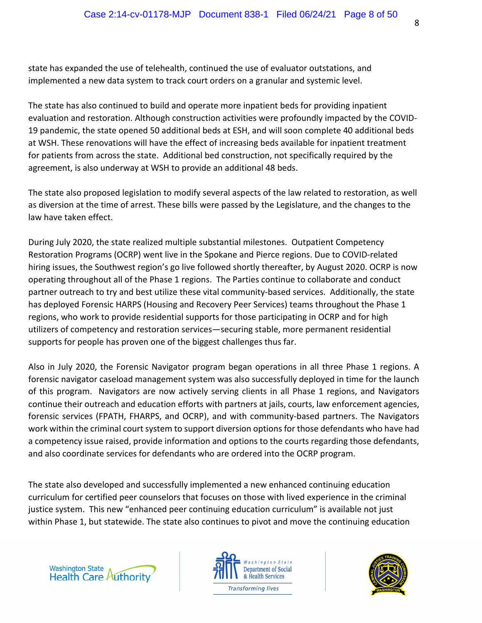state has expanded the use of telehealth, continued the use of evaluator outstations, and implemented a new data system to track court orders on a granular and systemic level.

The state has also continued to build and operate more inpatient beds for providing inpatient evaluation and restoration. Although construction activities were profoundly impacted by the COVID‐ 19 pandemic, the state opened 50 additional beds at ESH, and will soon complete 40 additional beds at WSH. These renovations will have the effect of increasing beds available for inpatient treatment for patients from across the state. Additional bed construction, not specifically required by the agreement, is also underway at WSH to provide an additional 48 beds.

The state also proposed legislation to modify several aspects of the law related to restoration, as well as diversion at the time of arrest. These bills were passed by the Legislature, and the changes to the law have taken effect.

During July 2020, the state realized multiple substantial milestones. Outpatient Competency Restoration Programs (OCRP) went live in the Spokane and Pierce regions. Due to COVID‐related hiring issues, the Southwest region's go live followed shortly thereafter, by August 2020. OCRP is now operating throughout all of the Phase 1 regions. The Parties continue to collaborate and conduct partner outreach to try and best utilize these vital community-based services. Additionally, the state has deployed Forensic HARPS (Housing and Recovery Peer Services) teams throughout the Phase 1 regions, who work to provide residential supports for those participating in OCRP and for high utilizers of competency and restoration services—securing stable, more permanent residential supports for people has proven one of the biggest challenges thus far.

Also in July 2020, the Forensic Navigator program began operations in all three Phase 1 regions. A forensic navigator caseload management system was also successfully deployed in time for the launch of this program. Navigators are now actively serving clients in all Phase 1 regions, and Navigators continue their outreach and education efforts with partners at jails, courts, law enforcement agencies, forensic services (FPATH, FHARPS, and OCRP), and with community‐based partners. The Navigators work within the criminal court system to support diversion options for those defendants who have had a competency issue raised, provide information and options to the courts regarding those defendants, and also coordinate services for defendants who are ordered into the OCRP program.

The state also developed and successfully implemented a new enhanced continuing education curriculum for certified peer counselors that focuses on those with lived experience in the criminal justice system. This new "enhanced peer continuing education curriculum" is available not just within Phase 1, but statewide. The state also continues to pivot and move the continuing education





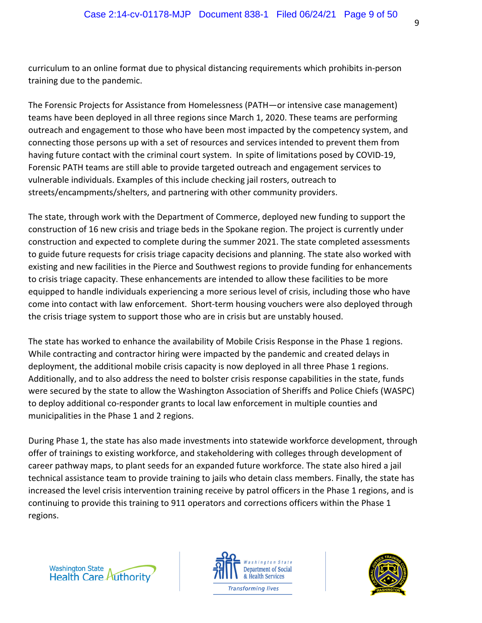curriculum to an online format due to physical distancing requirements which prohibits in‐person training due to the pandemic.

The Forensic Projects for Assistance from Homelessness (PATH—or intensive case management) teams have been deployed in all three regions since March 1, 2020. These teams are performing outreach and engagement to those who have been most impacted by the competency system, and connecting those persons up with a set of resources and services intended to prevent them from having future contact with the criminal court system. In spite of limitations posed by COVID‐19, Forensic PATH teams are still able to provide targeted outreach and engagement services to vulnerable individuals. Examples of this include checking jail rosters, outreach to streets/encampments/shelters, and partnering with other community providers.

The state, through work with the Department of Commerce, deployed new funding to support the construction of 16 new crisis and triage beds in the Spokane region. The project is currently under construction and expected to complete during the summer 2021. The state completed assessments to guide future requests for crisis triage capacity decisions and planning. The state also worked with existing and new facilities in the Pierce and Southwest regions to provide funding for enhancements to crisis triage capacity. These enhancements are intended to allow these facilities to be more equipped to handle individuals experiencing a more serious level of crisis, including those who have come into contact with law enforcement. Short-term housing vouchers were also deployed through the crisis triage system to support those who are in crisis but are unstably housed.

The state has worked to enhance the availability of Mobile Crisis Response in the Phase 1 regions. While contracting and contractor hiring were impacted by the pandemic and created delays in deployment, the additional mobile crisis capacity is now deployed in all three Phase 1 regions. Additionally, and to also address the need to bolster crisis response capabilities in the state, funds were secured by the state to allow the Washington Association of Sheriffs and Police Chiefs (WASPC) to deploy additional co-responder grants to local law enforcement in multiple counties and municipalities in the Phase 1 and 2 regions.

During Phase 1, the state has also made investments into statewide workforce development, through offer of trainings to existing workforce, and stakeholdering with colleges through development of career pathway maps, to plant seeds for an expanded future workforce. The state also hired a jail technical assistance team to provide training to jails who detain class members. Finally, the state has increased the level crisis intervention training receive by patrol officers in the Phase 1 regions, and is continuing to provide this training to 911 operators and corrections officers within the Phase 1 regions.





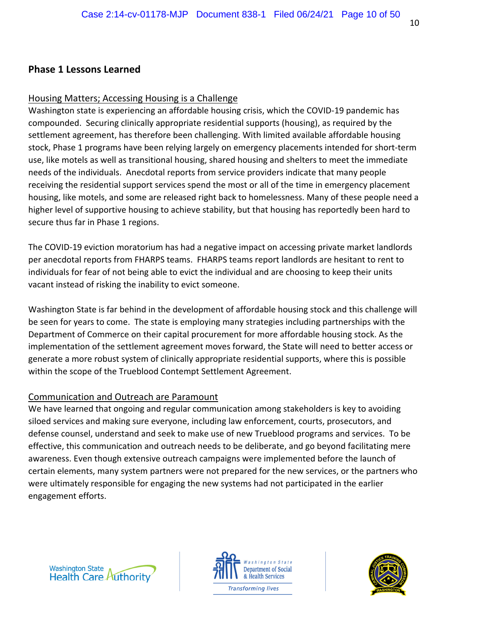## **Phase 1 Lessons Learned**

#### Housing Matters; Accessing Housing is a Challenge

Washington state is experiencing an affordable housing crisis, which the COVID‐19 pandemic has compounded. Securing clinically appropriate residential supports (housing), as required by the settlement agreement, has therefore been challenging. With limited available affordable housing stock, Phase 1 programs have been relying largely on emergency placements intended for short‐term use, like motels as well as transitional housing, shared housing and shelters to meet the immediate needs of the individuals. Anecdotal reports from service providers indicate that many people receiving the residential support services spend the most or all of the time in emergency placement housing, like motels, and some are released right back to homelessness. Many of these people need a higher level of supportive housing to achieve stability, but that housing has reportedly been hard to secure thus far in Phase 1 regions.

The COVID‐19 eviction moratorium has had a negative impact on accessing private market landlords per anecdotal reports from FHARPS teams. FHARPS teams report landlords are hesitant to rent to individuals for fear of not being able to evict the individual and are choosing to keep their units vacant instead of risking the inability to evict someone.

Washington State is far behind in the development of affordable housing stock and this challenge will be seen for years to come. The state is employing many strategies including partnerships with the Department of Commerce on their capital procurement for more affordable housing stock. As the implementation of the settlement agreement moves forward, the State will need to better access or generate a more robust system of clinically appropriate residential supports, where this is possible within the scope of the Trueblood Contempt Settlement Agreement.

## Communication and Outreach are Paramount

We have learned that ongoing and regular communication among stakeholders is key to avoiding siloed services and making sure everyone, including law enforcement, courts, prosecutors, and defense counsel, understand and seek to make use of new Trueblood programs and services. To be effective, this communication and outreach needs to be deliberate, and go beyond facilitating mere awareness. Even though extensive outreach campaigns were implemented before the launch of certain elements, many system partners were not prepared for the new services, or the partners who were ultimately responsible for engaging the new systems had not participated in the earlier engagement efforts.





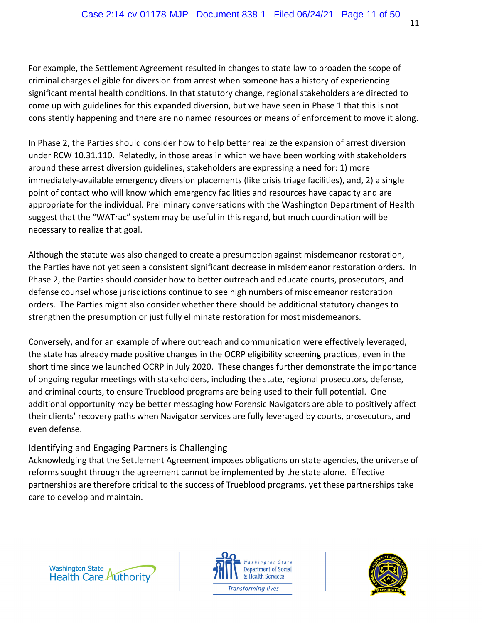For example, the Settlement Agreement resulted in changes to state law to broaden the scope of criminal charges eligible for diversion from arrest when someone has a history of experiencing significant mental health conditions. In that statutory change, regional stakeholders are directed to come up with guidelines for this expanded diversion, but we have seen in Phase 1 that this is not consistently happening and there are no named resources or means of enforcement to move it along.

In Phase 2, the Parties should consider how to help better realize the expansion of arrest diversion under RCW 10.31.110. Relatedly, in those areas in which we have been working with stakeholders around these arrest diversion guidelines, stakeholders are expressing a need for: 1) more immediately‐available emergency diversion placements (like crisis triage facilities), and, 2) a single point of contact who will know which emergency facilities and resources have capacity and are appropriate for the individual. Preliminary conversations with the Washington Department of Health suggest that the "WATrac" system may be useful in this regard, but much coordination will be necessary to realize that goal.

Although the statute was also changed to create a presumption against misdemeanor restoration, the Parties have not yet seen a consistent significant decrease in misdemeanor restoration orders. In Phase 2, the Parties should consider how to better outreach and educate courts, prosecutors, and defense counsel whose jurisdictions continue to see high numbers of misdemeanor restoration orders. The Parties might also consider whether there should be additional statutory changes to strengthen the presumption or just fully eliminate restoration for most misdemeanors.

Conversely, and for an example of where outreach and communication were effectively leveraged, the state has already made positive changes in the OCRP eligibility screening practices, even in the short time since we launched OCRP in July 2020. These changes further demonstrate the importance of ongoing regular meetings with stakeholders, including the state, regional prosecutors, defense, and criminal courts, to ensure Trueblood programs are being used to their full potential. One additional opportunity may be better messaging how Forensic Navigators are able to positively affect their clients' recovery paths when Navigator services are fully leveraged by courts, prosecutors, and even defense.

# Identifying and Engaging Partners is Challenging

Acknowledging that the Settlement Agreement imposes obligations on state agencies, the universe of reforms sought through the agreement cannot be implemented by the state alone. Effective partnerships are therefore critical to the success of Trueblood programs, yet these partnerships take care to develop and maintain.





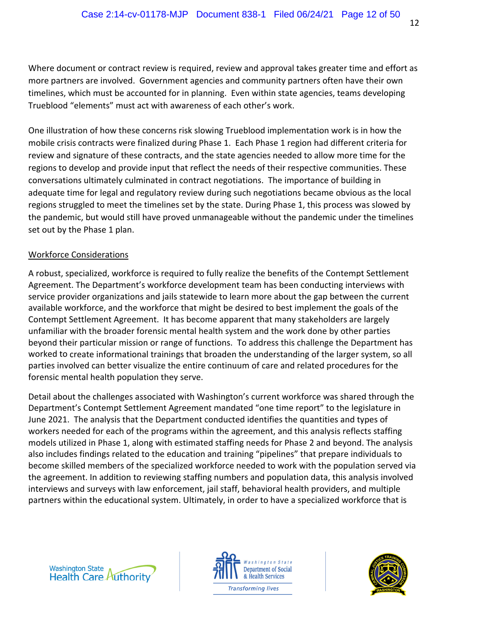Where document or contract review is required, review and approval takes greater time and effort as more partners are involved. Government agencies and community partners often have their own timelines, which must be accounted for in planning. Even within state agencies, teams developing Trueblood "elements" must act with awareness of each other's work.

One illustration of how these concerns risk slowing Trueblood implementation work is in how the mobile crisis contracts were finalized during Phase 1. Each Phase 1 region had different criteria for review and signature of these contracts, and the state agencies needed to allow more time for the regions to develop and provide input that reflect the needs of their respective communities. These conversations ultimately culminated in contract negotiations. The importance of building in adequate time for legal and regulatory review during such negotiations became obvious as the local regions struggled to meet the timelines set by the state. During Phase 1, this process was slowed by the pandemic, but would still have proved unmanageable without the pandemic under the timelines set out by the Phase 1 plan.

#### Workforce Considerations

A robust, specialized, workforce is required to fully realize the benefits of the Contempt Settlement Agreement. The Department's workforce development team has been conducting interviews with service provider organizations and jails statewide to learn more about the gap between the current available workforce, and the workforce that might be desired to best implement the goals of the Contempt Settlement Agreement. It has become apparent that many stakeholders are largely unfamiliar with the broader forensic mental health system and the work done by other parties beyond their particular mission or range of functions. To address this challenge the Department has worked to create informational trainings that broaden the understanding of the larger system, so all parties involved can better visualize the entire continuum of care and related procedures for the forensic mental health population they serve.

Detail about the challenges associated with Washington's current workforce was shared through the Department's Contempt Settlement Agreement mandated "one time report" to the legislature in June 2021. The analysis that the Department conducted identifies the quantities and types of workers needed for each of the programs within the agreement, and this analysis reflects staffing models utilized in Phase 1, along with estimated staffing needs for Phase 2 and beyond. The analysis also includes findings related to the education and training "pipelines" that prepare individuals to become skilled members of the specialized workforce needed to work with the population served via the agreement. In addition to reviewing staffing numbers and population data, this analysis involved interviews and surveys with law enforcement, jail staff, behavioral health providers, and multiple partners within the educational system. Ultimately, in order to have a specialized workforce that is





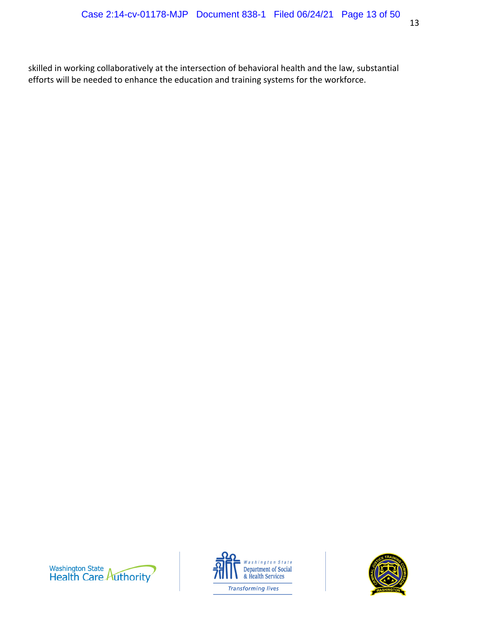skilled in working collaboratively at the intersection of behavioral health and the law, substantial efforts will be needed to enhance the education and training systems for the workforce.





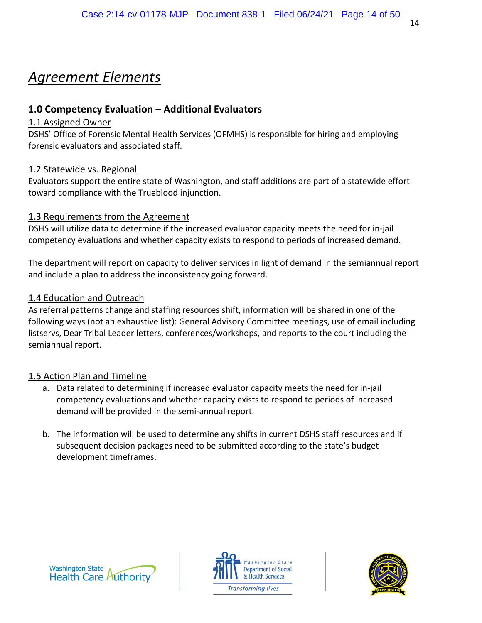# *Agreement Elements*

# **1.0 Competency Evaluation – Additional Evaluators**

## 1.1 Assigned Owner

DSHS' Office of Forensic Mental Health Services (OFMHS) is responsible for hiring and employing forensic evaluators and associated staff.

# 1.2 Statewide vs. Regional

Evaluators support the entire state of Washington, and staff additions are part of a statewide effort toward compliance with the Trueblood injunction.

# 1.3 Requirements from the Agreement

DSHS will utilize data to determine if the increased evaluator capacity meets the need for in‐jail competency evaluations and whether capacity exists to respond to periods of increased demand.

The department will report on capacity to deliver services in light of demand in the semiannual report and include a plan to address the inconsistency going forward.

# 1.4 Education and Outreach

As referral patterns change and staffing resources shift, information will be shared in one of the following ways (not an exhaustive list): General Advisory Committee meetings, use of email including listservs, Dear Tribal Leader letters, conferences/workshops, and reports to the court including the semiannual report.

- a. Data related to determining if increased evaluator capacity meets the need for in‐jail competency evaluations and whether capacity exists to respond to periods of increased demand will be provided in the semi‐annual report.
- b. The information will be used to determine any shifts in current DSHS staff resources and if subsequent decision packages need to be submitted according to the state's budget development timeframes.





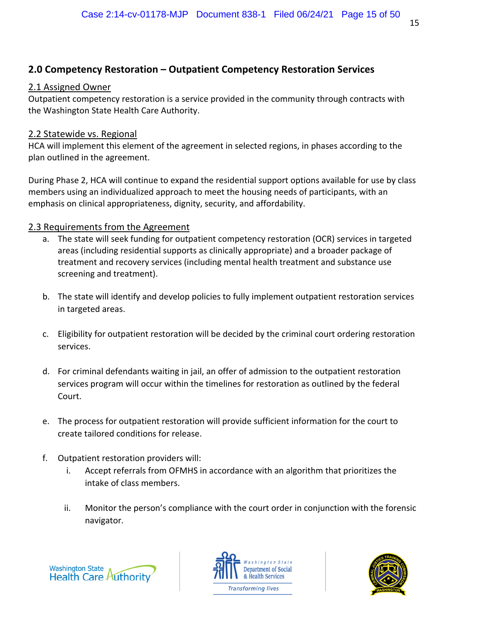# **2.0 Competency Restoration – Outpatient Competency Restoration Services**

# 2.1 Assigned Owner

Outpatient competency restoration is a service provided in the community through contracts with the Washington State Health Care Authority.

# 2.2 Statewide vs. Regional

HCA will implement this element of the agreement in selected regions, in phases according to the plan outlined in the agreement.

During Phase 2, HCA will continue to expand the residential support options available for use by class members using an individualized approach to meet the housing needs of participants, with an emphasis on clinical appropriateness, dignity, security, and affordability.

# 2.3 Requirements from the Agreement

- a. The state will seek funding for outpatient competency restoration (OCR) services in targeted areas (including residential supports as clinically appropriate) and a broader package of treatment and recovery services (including mental health treatment and substance use screening and treatment).
- b. The state will identify and develop policies to fully implement outpatient restoration services in targeted areas.
- c. Eligibility for outpatient restoration will be decided by the criminal court ordering restoration services.
- d. For criminal defendants waiting in jail, an offer of admission to the outpatient restoration services program will occur within the timelines for restoration as outlined by the federal Court.
- e. The process for outpatient restoration will provide sufficient information for the court to create tailored conditions for release.
- f. Outpatient restoration providers will:
	- i. Accept referrals from OFMHS in accordance with an algorithm that prioritizes the intake of class members.
	- ii. Monitor the person's compliance with the court order in conjunction with the forensic navigator.





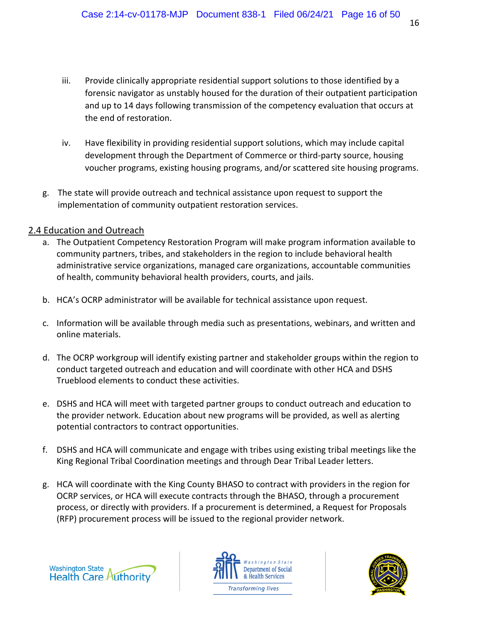- iii. Provide clinically appropriate residential support solutions to those identified by a forensic navigator as unstably housed for the duration of their outpatient participation and up to 14 days following transmission of the competency evaluation that occurs at the end of restoration.
- iv. Have flexibility in providing residential support solutions, which may include capital development through the Department of Commerce or third‐party source, housing voucher programs, existing housing programs, and/or scattered site housing programs.
- g. The state will provide outreach and technical assistance upon request to support the implementation of community outpatient restoration services.

#### 2.4 Education and Outreach

- a. The Outpatient Competency Restoration Program will make program information available to community partners, tribes, and stakeholders in the region to include behavioral health administrative service organizations, managed care organizations, accountable communities of health, community behavioral health providers, courts, and jails.
- b. HCA's OCRP administrator will be available for technical assistance upon request.
- c. Information will be available through media such as presentations, webinars, and written and online materials.
- d. The OCRP workgroup will identify existing partner and stakeholder groups within the region to conduct targeted outreach and education and will coordinate with other HCA and DSHS Trueblood elements to conduct these activities.
- e. DSHS and HCA will meet with targeted partner groups to conduct outreach and education to the provider network. Education about new programs will be provided, as well as alerting potential contractors to contract opportunities.
- f. DSHS and HCA will communicate and engage with tribes using existing tribal meetings like the King Regional Tribal Coordination meetings and through Dear Tribal Leader letters.
- g. HCA will coordinate with the King County BHASO to contract with providers in the region for OCRP services, or HCA will execute contracts through the BHASO, through a procurement process, or directly with providers. If a procurement is determined, a Request for Proposals (RFP) procurement process will be issued to the regional provider network.





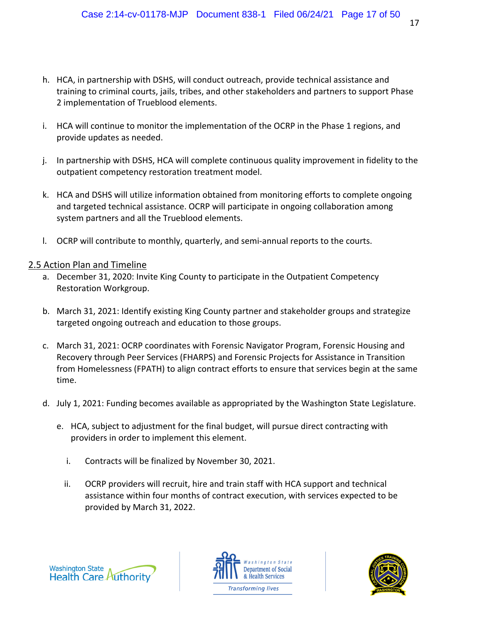- h. HCA, in partnership with DSHS, will conduct outreach, provide technical assistance and training to criminal courts, jails, tribes, and other stakeholders and partners to support Phase 2 implementation of Trueblood elements.
- i. HCA will continue to monitor the implementation of the OCRP in the Phase 1 regions, and provide updates as needed.
- j. In partnership with DSHS, HCA will complete continuous quality improvement in fidelity to the outpatient competency restoration treatment model.
- k. HCA and DSHS will utilize information obtained from monitoring efforts to complete ongoing and targeted technical assistance. OCRP will participate in ongoing collaboration among system partners and all the Trueblood elements.
- l. OCRP will contribute to monthly, quarterly, and semi‐annual reports to the courts.

- a. December 31, 2020: Invite King County to participate in the Outpatient Competency Restoration Workgroup.
- b. March 31, 2021: Identify existing King County partner and stakeholder groups and strategize targeted ongoing outreach and education to those groups.
- c. March 31, 2021: OCRP coordinates with Forensic Navigator Program, Forensic Housing and Recovery through Peer Services (FHARPS) and Forensic Projects for Assistance in Transition from Homelessness (FPATH) to align contract efforts to ensure that services begin at the same time.
- d. July 1, 2021: Funding becomes available as appropriated by the Washington State Legislature.
	- e. HCA, subject to adjustment for the final budget, will pursue direct contracting with providers in order to implement this element.
		- i. Contracts will be finalized by November 30, 2021.
		- ii. OCRP providers will recruit, hire and train staff with HCA support and technical assistance within four months of contract execution, with services expected to be provided by March 31, 2022.





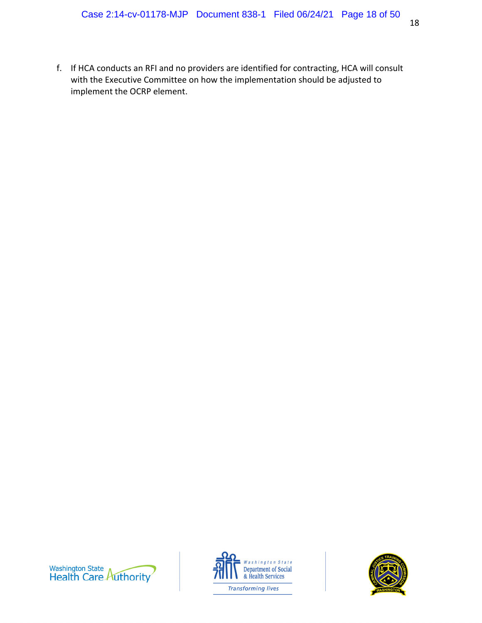f. If HCA conducts an RFI and no providers are identified for contracting, HCA will consult with the Executive Committee on how the implementation should be adjusted to implement the OCRP element.





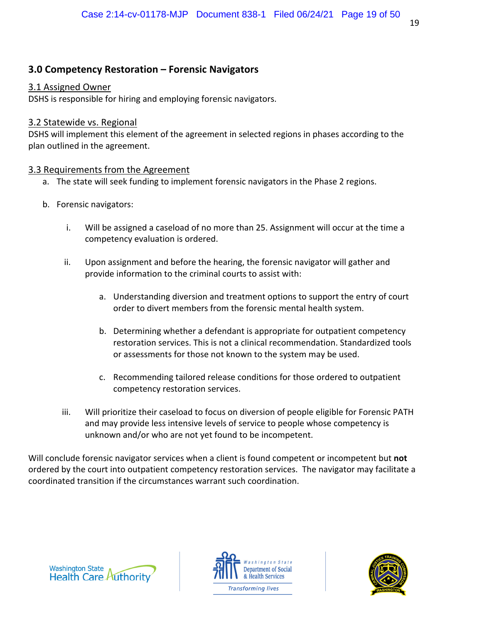# **3.0 Competency Restoration – Forensic Navigators**

#### 3.1 Assigned Owner

DSHS is responsible for hiring and employing forensic navigators.

#### 3.2 Statewide vs. Regional

DSHS will implement this element of the agreement in selected regions in phases according to the plan outlined in the agreement.

## 3.3 Requirements from the Agreement

- a. The state will seek funding to implement forensic navigators in the Phase 2 regions.
- b. Forensic navigators:
	- i. Will be assigned a caseload of no more than 25. Assignment will occur at the time a competency evaluation is ordered.
	- ii. Upon assignment and before the hearing, the forensic navigator will gather and provide information to the criminal courts to assist with:
		- a. Understanding diversion and treatment options to support the entry of court order to divert members from the forensic mental health system.
		- b. Determining whether a defendant is appropriate for outpatient competency restoration services. This is not a clinical recommendation. Standardized tools or assessments for those not known to the system may be used.
		- c. Recommending tailored release conditions for those ordered to outpatient competency restoration services.
	- iii. Will prioritize their caseload to focus on diversion of people eligible for Forensic PATH and may provide less intensive levels of service to people whose competency is unknown and/or who are not yet found to be incompetent.

Will conclude forensic navigator services when a client is found competent or incompetent but **not** ordered by the court into outpatient competency restoration services. The navigator may facilitate a coordinated transition if the circumstances warrant such coordination.





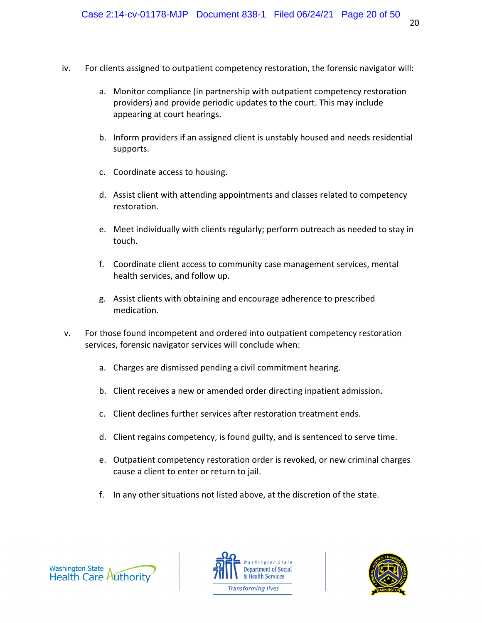- iv. For clients assigned to outpatient competency restoration, the forensic navigator will:
	- a. Monitor compliance (in partnership with outpatient competency restoration providers) and provide periodic updates to the court. This may include appearing at court hearings.
	- b. Inform providers if an assigned client is unstably housed and needs residential supports.
	- c. Coordinate access to housing.
	- d. Assist client with attending appointments and classes related to competency restoration.
	- e. Meet individually with clients regularly; perform outreach as needed to stay in touch.
	- f. Coordinate client access to community case management services, mental health services, and follow up.
	- g. Assist clients with obtaining and encourage adherence to prescribed medication.
- v. For those found incompetent and ordered into outpatient competency restoration services, forensic navigator services will conclude when:
	- a. Charges are dismissed pending a civil commitment hearing.
	- b. Client receives a new or amended order directing inpatient admission.
	- c. Client declines further services after restoration treatment ends.
	- d. Client regains competency, is found guilty, and is sentenced to serve time.
	- e. Outpatient competency restoration order is revoked, or new criminal charges cause a client to enter or return to jail.
	- f. In any other situations not listed above, at the discretion of the state.





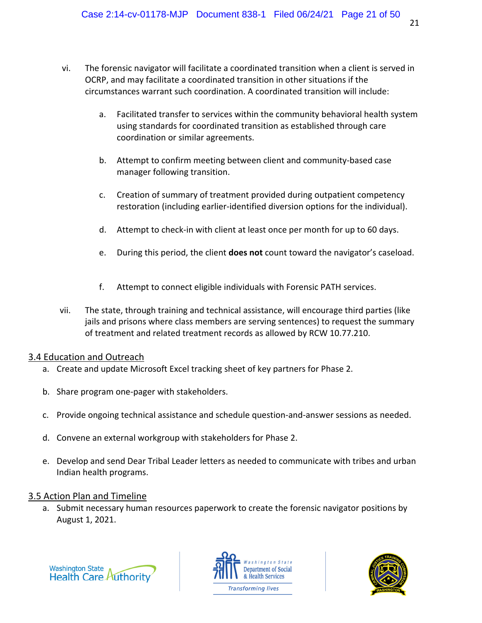- vi. The forensic navigator will facilitate a coordinated transition when a client is served in OCRP, and may facilitate a coordinated transition in other situations if the circumstances warrant such coordination. A coordinated transition will include:
	- a. Facilitated transfer to services within the community behavioral health system using standards for coordinated transition as established through care coordination or similar agreements.
	- b. Attempt to confirm meeting between client and community‐based case manager following transition.
	- c. Creation of summary of treatment provided during outpatient competency restoration (including earlier‐identified diversion options for the individual).
	- d. Attempt to check‐in with client at least once per month for up to 60 days.
	- e. During this period, the client **does not** count toward the navigator's caseload.
	- f. Attempt to connect eligible individuals with Forensic PATH services.
- vii. The state, through training and technical assistance, will encourage third parties (like jails and prisons where class members are serving sentences) to request the summary of treatment and related treatment records as allowed by RCW 10.77.210.

## 3.4 Education and Outreach

- a. Create and update Microsoft Excel tracking sheet of key partners for Phase 2.
- b. Share program one‐pager with stakeholders.
- c. Provide ongoing technical assistance and schedule question‐and‐answer sessions as needed.
- d. Convene an external workgroup with stakeholders for Phase 2.
- e. Develop and send Dear Tribal Leader letters as needed to communicate with tribes and urban Indian health programs.

## 3.5 Action Plan and Timeline

a. Submit necessary human resources paperwork to create the forensic navigator positions by August 1, 2021.





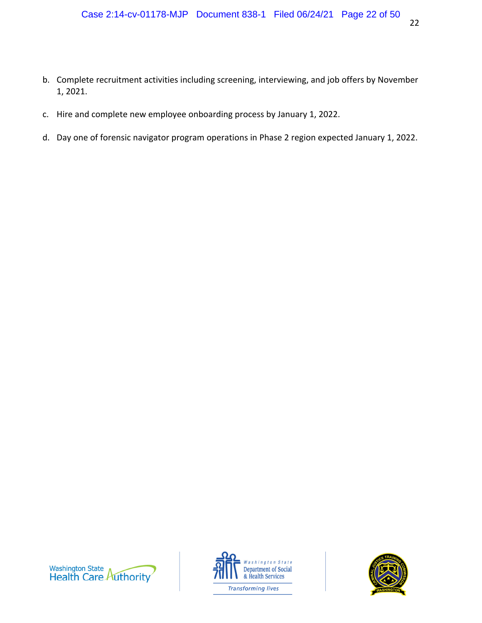- b. Complete recruitment activities including screening, interviewing, and job offers by November 1, 2021.
- c. Hire and complete new employee onboarding process by January 1, 2022.
- d. Day one of forensic navigator program operations in Phase 2 region expected January 1, 2022.





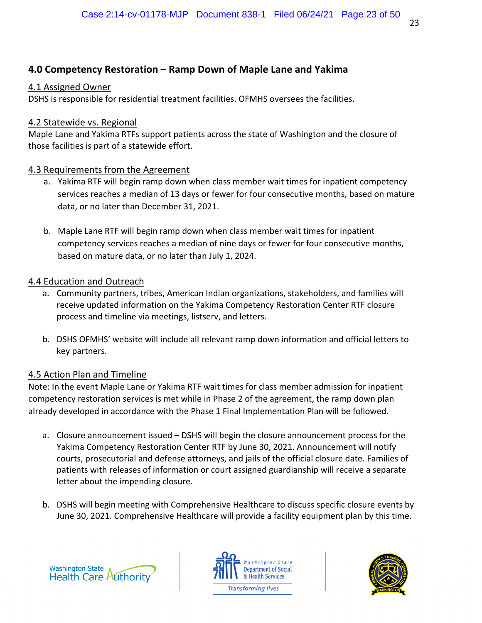# **4.0 Competency Restoration – Ramp Down of Maple Lane and Yakima**

# 4.1 Assigned Owner

DSHS is responsible for residential treatment facilities. OFMHS oversees the facilities.

# 4.2 Statewide vs. Regional

Maple Lane and Yakima RTFs support patients across the state of Washington and the closure of those facilities is part of a statewide effort.

# 4.3 Requirements from the Agreement

- a. Yakima RTF will begin ramp down when class member wait times for inpatient competency services reaches a median of 13 days or fewer for four consecutive months, based on mature data, or no later than December 31, 2021.
- b. Maple Lane RTF will begin ramp down when class member wait times for inpatient competency services reaches a median of nine days or fewer for four consecutive months, based on mature data, or no later than July 1, 2024.

# 4.4 Education and Outreach

- a. Community partners, tribes, American Indian organizations, stakeholders, and families will receive updated information on the Yakima Competency Restoration Center RTF closure process and timeline via meetings, listserv, and letters.
- b. DSHS OFMHS' website will include all relevant ramp down information and official letters to key partners.

# 4.5 Action Plan and Timeline

Note: In the event Maple Lane or Yakima RTF wait times for class member admission for inpatient competency restoration services is met while in Phase 2 of the agreement, the ramp down plan already developed in accordance with the Phase 1 Final Implementation Plan will be followed.

- a. Closure announcement issued DSHS will begin the closure announcement process for the Yakima Competency Restoration Center RTF by June 30, 2021. Announcement will notify courts, prosecutorial and defense attorneys, and jails of the official closure date. Families of patients with releases of information or court assigned guardianship will receive a separate letter about the impending closure.
- b. DSHS will begin meeting with Comprehensive Healthcare to discuss specific closure events by June 30, 2021. Comprehensive Healthcare will provide a facility equipment plan by this time.





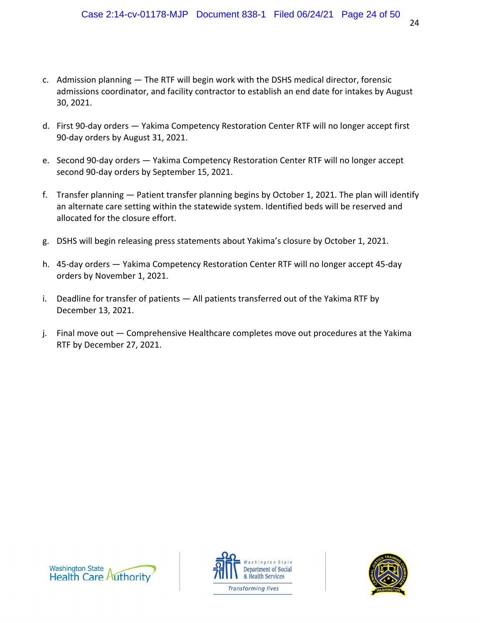- c. Admission planning The RTF will begin work with the DSHS medical director, forensic admissions coordinator, and facility contractor to establish an end date for intakes by August 30, 2021.
- d. First 90‐day orders Yakima Competency Restoration Center RTF will no longer accept first 90‐day orders by August 31, 2021.
- e. Second 90‐day orders Yakima Competency Restoration Center RTF will no longer accept second 90‐day orders by September 15, 2021.
- f. Transfer planning Patient transfer planning begins by October 1, 2021. The plan will identify an alternate care setting within the statewide system. Identified beds will be reserved and allocated for the closure effort.
- g. DSHS will begin releasing press statements about Yakima's closure by October 1, 2021.
- h. 45‐day orders Yakima Competency Restoration Center RTF will no longer accept 45‐day orders by November 1, 2021.
- i. Deadline for transfer of patients All patients transferred out of the Yakima RTF by December 13, 2021.
- j. Final move out Comprehensive Healthcare completes move out procedures at the Yakima RTF by December 27, 2021.





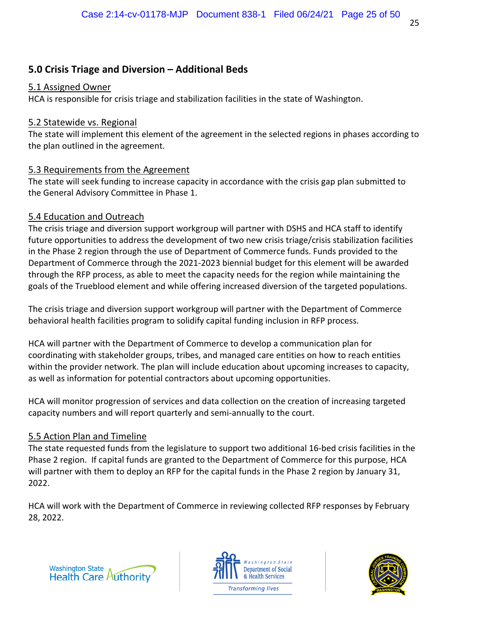# **5.0 Crisis Triage and Diversion – Additional Beds**

## 5.1 Assigned Owner

HCA is responsible for crisis triage and stabilization facilities in the state of Washington.

# 5.2 Statewide vs. Regional

The state will implement this element of the agreement in the selected regions in phases according to the plan outlined in the agreement.

# 5.3 Requirements from the Agreement

The state will seek funding to increase capacity in accordance with the crisis gap plan submitted to the General Advisory Committee in Phase 1.

# 5.4 Education and Outreach

The crisis triage and diversion support workgroup will partner with DSHS and HCA staff to identify future opportunities to address the development of two new crisis triage/crisis stabilization facilities in the Phase 2 region through the use of Department of Commerce funds. Funds provided to the Department of Commerce through the 2021-2023 biennial budget for this element will be awarded through the RFP process, as able to meet the capacity needs for the region while maintaining the goals of the Trueblood element and while offering increased diversion of the targeted populations.

The crisis triage and diversion support workgroup will partner with the Department of Commerce behavioral health facilities program to solidify capital funding inclusion in RFP process.

HCA will partner with the Department of Commerce to develop a communication plan for coordinating with stakeholder groups, tribes, and managed care entities on how to reach entities within the provider network. The plan will include education about upcoming increases to capacity, as well as information for potential contractors about upcoming opportunities.

HCA will monitor progression of services and data collection on the creation of increasing targeted capacity numbers and will report quarterly and semi‐annually to the court.

## 5.5 Action Plan and Timeline

The state requested funds from the legislature to support two additional 16‐bed crisis facilities in the Phase 2 region. If capital funds are granted to the Department of Commerce for this purpose, HCA will partner with them to deploy an RFP for the capital funds in the Phase 2 region by January 31, 2022.

HCA will work with the Department of Commerce in reviewing collected RFP responses by February 28, 2022.





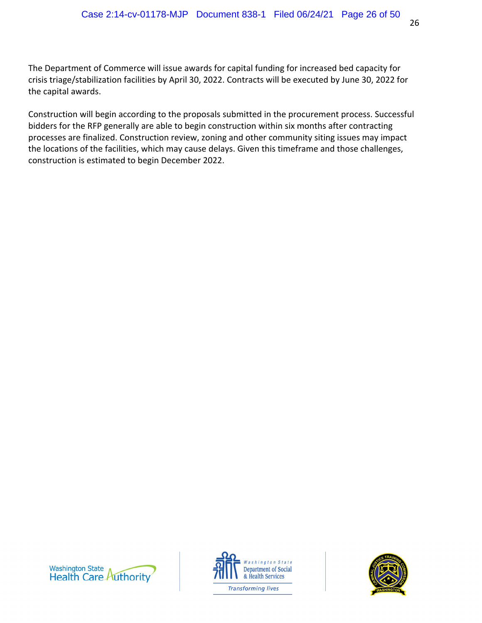The Department of Commerce will issue awards for capital funding for increased bed capacity for crisis triage/stabilization facilities by April 30, 2022. Contracts will be executed by June 30, 2022 for the capital awards.

Construction will begin according to the proposals submitted in the procurement process. Successful bidders for the RFP generally are able to begin construction within six months after contracting processes are finalized. Construction review, zoning and other community siting issues may impact the locations of the facilities, which may cause delays. Given this timeframe and those challenges, construction is estimated to begin December 2022.





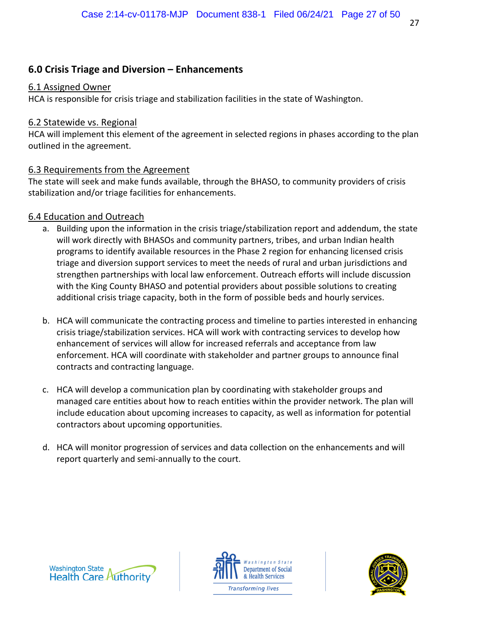# **6.0 Crisis Triage and Diversion – Enhancements**

#### 6.1 Assigned Owner

HCA is responsible for crisis triage and stabilization facilities in the state of Washington.

#### 6.2 Statewide vs. Regional

HCA will implement this element of the agreement in selected regions in phases according to the plan outlined in the agreement.

## 6.3 Requirements from the Agreement

The state will seek and make funds available, through the BHASO, to community providers of crisis stabilization and/or triage facilities for enhancements.

## 6.4 Education and Outreach

- a. Building upon the information in the crisis triage/stabilization report and addendum, the state will work directly with BHASOs and community partners, tribes, and urban Indian health programs to identify available resources in the Phase 2 region for enhancing licensed crisis triage and diversion support services to meet the needs of rural and urban jurisdictions and strengthen partnerships with local law enforcement. Outreach efforts will include discussion with the King County BHASO and potential providers about possible solutions to creating additional crisis triage capacity, both in the form of possible beds and hourly services.
- b. HCA will communicate the contracting process and timeline to parties interested in enhancing crisis triage/stabilization services. HCA will work with contracting services to develop how enhancement of services will allow for increased referrals and acceptance from law enforcement. HCA will coordinate with stakeholder and partner groups to announce final contracts and contracting language.
- c. HCA will develop a communication plan by coordinating with stakeholder groups and managed care entities about how to reach entities within the provider network. The plan will include education about upcoming increases to capacity, as well as information for potential contractors about upcoming opportunities.
- d. HCA will monitor progression of services and data collection on the enhancements and will report quarterly and semi‐annually to the court.





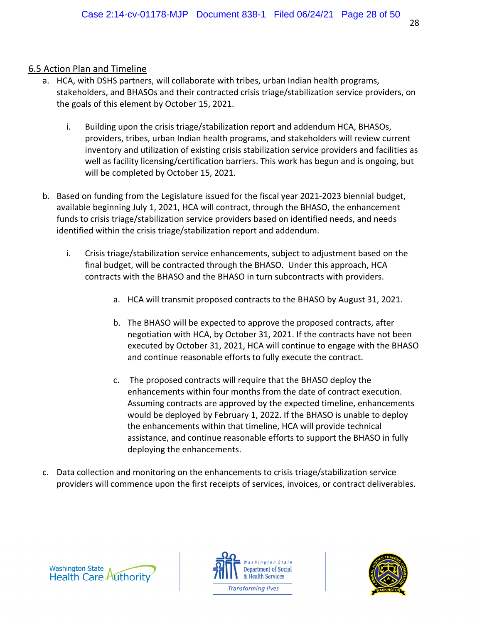- a. HCA, with DSHS partners, will collaborate with tribes, urban Indian health programs, stakeholders, and BHASOs and their contracted crisis triage/stabilization service providers, on the goals of this element by October 15, 2021.
	- i. Building upon the crisis triage/stabilization report and addendum HCA, BHASOs, providers, tribes, urban Indian health programs, and stakeholders will review current inventory and utilization of existing crisis stabilization service providers and facilities as well as facility licensing/certification barriers. This work has begun and is ongoing, but will be completed by October 15, 2021.
- b. Based on funding from the Legislature issued for the fiscal year 2021-2023 biennial budget, available beginning July 1, 2021, HCA will contract, through the BHASO, the enhancement funds to crisis triage/stabilization service providers based on identified needs, and needs identified within the crisis triage/stabilization report and addendum.
	- i. Crisis triage/stabilization service enhancements, subject to adjustment based on the final budget, will be contracted through the BHASO. Under this approach, HCA contracts with the BHASO and the BHASO in turn subcontracts with providers.
		- a. HCA will transmit proposed contracts to the BHASO by August 31, 2021.
		- b. The BHASO will be expected to approve the proposed contracts, after negotiation with HCA, by October 31, 2021. If the contracts have not been executed by October 31, 2021, HCA will continue to engage with the BHASO and continue reasonable efforts to fully execute the contract.
		- c. The proposed contracts will require that the BHASO deploy the enhancements within four months from the date of contract execution. Assuming contracts are approved by the expected timeline, enhancements would be deployed by February 1, 2022. If the BHASO is unable to deploy the enhancements within that timeline, HCA will provide technical assistance, and continue reasonable efforts to support the BHASO in fully deploying the enhancements.
- c. Data collection and monitoring on the enhancements to crisis triage/stabilization service providers will commence upon the first receipts of services, invoices, or contract deliverables.





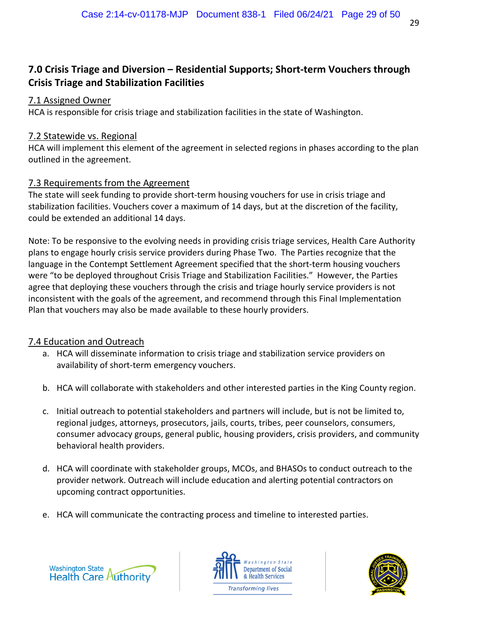# **7.0 Crisis Triage and Diversion – Residential Supports; Short-term Vouchers through Crisis Triage and Stabilization Facilities**

# 7.1 Assigned Owner

HCA is responsible for crisis triage and stabilization facilities in the state of Washington.

# 7.2 Statewide vs. Regional

HCA will implement this element of the agreement in selected regions in phases according to the plan outlined in the agreement.

# 7.3 Requirements from the Agreement

The state will seek funding to provide short-term housing vouchers for use in crisis triage and stabilization facilities. Vouchers cover a maximum of 14 days, but at the discretion of the facility, could be extended an additional 14 days.

Note: To be responsive to the evolving needs in providing crisis triage services, Health Care Authority plans to engage hourly crisis service providers during Phase Two. The Parties recognize that the language in the Contempt Settlement Agreement specified that the short-term housing vouchers were "to be deployed throughout Crisis Triage and Stabilization Facilities." However, the Parties agree that deploying these vouchers through the crisis and triage hourly service providers is not inconsistent with the goals of the agreement, and recommend through this Final Implementation Plan that vouchers may also be made available to these hourly providers.

# 7.4 Education and Outreach

- a. HCA will disseminate information to crisis triage and stabilization service providers on availability of short‐term emergency vouchers.
- b. HCA will collaborate with stakeholders and other interested parties in the King County region.
- c. Initial outreach to potential stakeholders and partners will include, but is not be limited to, regional judges, attorneys, prosecutors, jails, courts, tribes, peer counselors, consumers, consumer advocacy groups, general public, housing providers, crisis providers, and community behavioral health providers.
- d. HCA will coordinate with stakeholder groups, MCOs, and BHASOs to conduct outreach to the provider network. Outreach will include education and alerting potential contractors on upcoming contract opportunities.
- e. HCA will communicate the contracting process and timeline to interested parties.





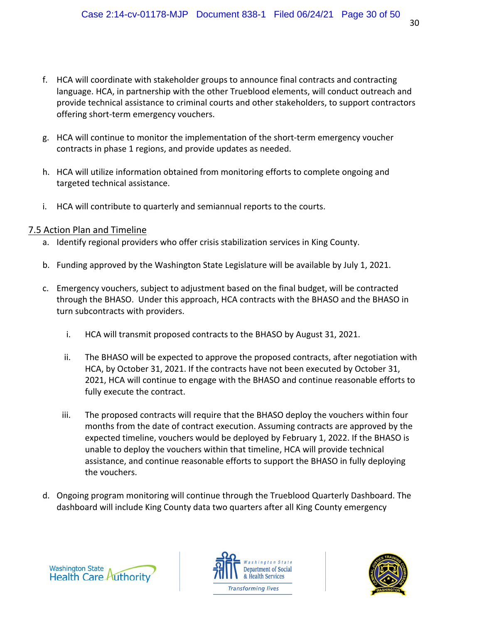- f. HCA will coordinate with stakeholder groups to announce final contracts and contracting language. HCA, in partnership with the other Trueblood elements, will conduct outreach and provide technical assistance to criminal courts and other stakeholders, to support contractors offering short‐term emergency vouchers.
- g. HCA will continue to monitor the implementation of the short‐term emergency voucher contracts in phase 1 regions, and provide updates as needed.
- h. HCA will utilize information obtained from monitoring efforts to complete ongoing and targeted technical assistance.
- i. HCA will contribute to quarterly and semiannual reports to the courts.

- a. Identify regional providers who offer crisis stabilization services in King County.
- b. Funding approved by the Washington State Legislature will be available by July 1, 2021.
- c. Emergency vouchers, subject to adjustment based on the final budget, will be contracted through the BHASO. Under this approach, HCA contracts with the BHASO and the BHASO in turn subcontracts with providers.
	- i. HCA will transmit proposed contracts to the BHASO by August 31, 2021.
	- ii. The BHASO will be expected to approve the proposed contracts, after negotiation with HCA, by October 31, 2021. If the contracts have not been executed by October 31, 2021, HCA will continue to engage with the BHASO and continue reasonable efforts to fully execute the contract.
	- iii. The proposed contracts will require that the BHASO deploy the vouchers within four months from the date of contract execution. Assuming contracts are approved by the expected timeline, vouchers would be deployed by February 1, 2022. If the BHASO is unable to deploy the vouchers within that timeline, HCA will provide technical assistance, and continue reasonable efforts to support the BHASO in fully deploying the vouchers.
- d. Ongoing program monitoring will continue through the Trueblood Quarterly Dashboard. The dashboard will include King County data two quarters after all King County emergency





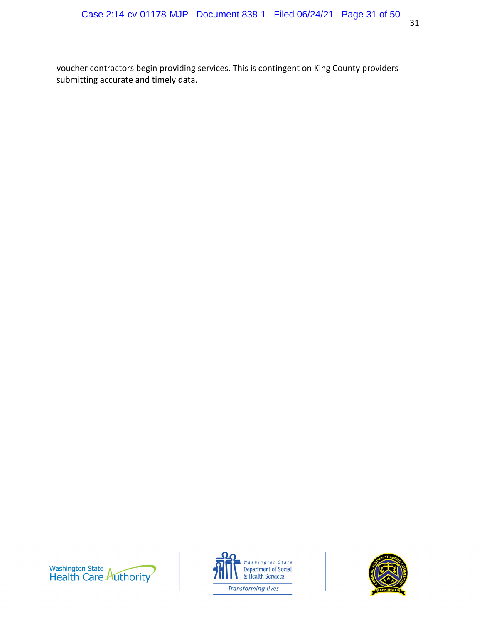voucher contractors begin providing services. This is contingent on King County providers submitting accurate and timely data.





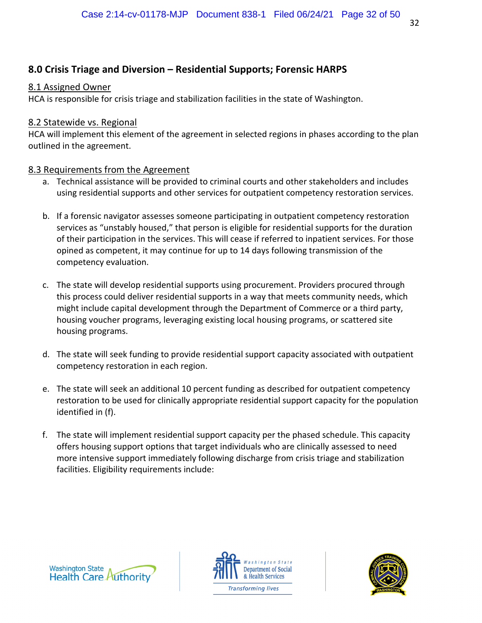# **8.0 Crisis Triage and Diversion – Residential Supports; Forensic HARPS**

## 8.1 Assigned Owner

HCA is responsible for crisis triage and stabilization facilities in the state of Washington.

# 8.2 Statewide vs. Regional

HCA will implement this element of the agreement in selected regions in phases according to the plan outlined in the agreement.

# 8.3 Requirements from the Agreement

- a. Technical assistance will be provided to criminal courts and other stakeholders and includes using residential supports and other services for outpatient competency restoration services.
- b. If a forensic navigator assesses someone participating in outpatient competency restoration services as "unstably housed," that person is eligible for residential supports for the duration of their participation in the services. This will cease if referred to inpatient services. For those opined as competent, it may continue for up to 14 days following transmission of the competency evaluation.
- c. The state will develop residential supports using procurement. Providers procured through this process could deliver residential supports in a way that meets community needs, which might include capital development through the Department of Commerce or a third party, housing voucher programs, leveraging existing local housing programs, or scattered site housing programs.
- d. The state will seek funding to provide residential support capacity associated with outpatient competency restoration in each region.
- e. The state will seek an additional 10 percent funding as described for outpatient competency restoration to be used for clinically appropriate residential support capacity for the population identified in (f).
- f. The state will implement residential support capacity per the phased schedule. This capacity offers housing support options that target individuals who are clinically assessed to need more intensive support immediately following discharge from crisis triage and stabilization facilities. Eligibility requirements include:





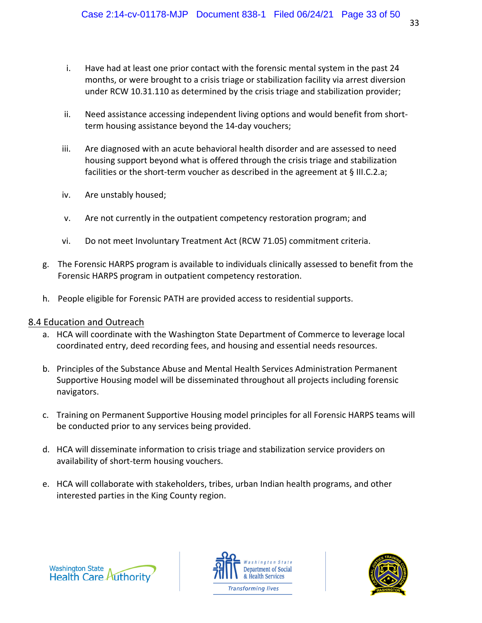- i. Have had at least one prior contact with the forensic mental system in the past 24 months, or were brought to a crisis triage or stabilization facility via arrest diversion under RCW 10.31.110 as determined by the crisis triage and stabilization provider;
- ii. Need assistance accessing independent living options and would benefit from short‐ term housing assistance beyond the 14‐day vouchers;
- iii. Are diagnosed with an acute behavioral health disorder and are assessed to need housing support beyond what is offered through the crisis triage and stabilization facilities or the short-term voucher as described in the agreement at § III.C.2.a;
- iv. Are unstably housed;
- v. Are not currently in the outpatient competency restoration program; and
- vi. Do not meet Involuntary Treatment Act (RCW 71.05) commitment criteria.
- g. The Forensic HARPS program is available to individuals clinically assessed to benefit from the Forensic HARPS program in outpatient competency restoration.
- h. People eligible for Forensic PATH are provided access to residential supports.

## 8.4 Education and Outreach

- a. HCA will coordinate with the Washington State Department of Commerce to leverage local coordinated entry, deed recording fees, and housing and essential needs resources.
- b. Principles of the Substance Abuse and Mental Health Services Administration Permanent Supportive Housing model will be disseminated throughout all projects including forensic navigators.
- c. Training on Permanent Supportive Housing model principles for all Forensic HARPS teams will be conducted prior to any services being provided.
- d. HCA will disseminate information to crisis triage and stabilization service providers on availability of short‐term housing vouchers.
- e. HCA will collaborate with stakeholders, tribes, urban Indian health programs, and other interested parties in the King County region.





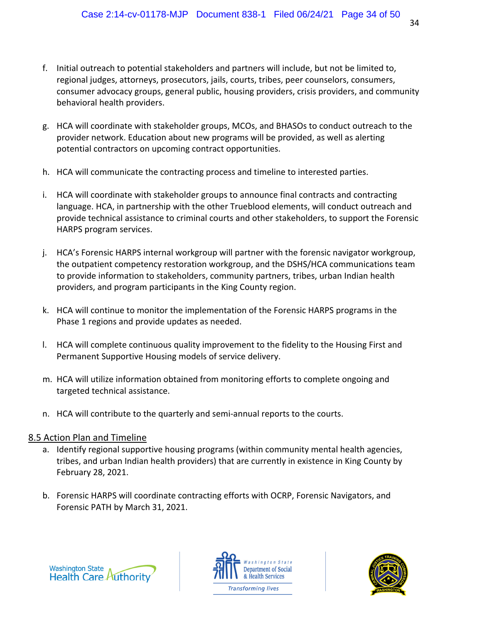- f. Initial outreach to potential stakeholders and partners will include, but not be limited to, regional judges, attorneys, prosecutors, jails, courts, tribes, peer counselors, consumers, consumer advocacy groups, general public, housing providers, crisis providers, and community behavioral health providers.
- g. HCA will coordinate with stakeholder groups, MCOs, and BHASOs to conduct outreach to the provider network. Education about new programs will be provided, as well as alerting potential contractors on upcoming contract opportunities.
- h. HCA will communicate the contracting process and timeline to interested parties.
- i. HCA will coordinate with stakeholder groups to announce final contracts and contracting language. HCA, in partnership with the other Trueblood elements, will conduct outreach and provide technical assistance to criminal courts and other stakeholders, to support the Forensic HARPS program services.
- j. HCA's Forensic HARPS internal workgroup will partner with the forensic navigator workgroup, the outpatient competency restoration workgroup, and the DSHS/HCA communications team to provide information to stakeholders, community partners, tribes, urban Indian health providers, and program participants in the King County region.
- k. HCA will continue to monitor the implementation of the Forensic HARPS programs in the Phase 1 regions and provide updates as needed.
- l. HCA will complete continuous quality improvement to the fidelity to the Housing First and Permanent Supportive Housing models of service delivery.
- m. HCA will utilize information obtained from monitoring efforts to complete ongoing and targeted technical assistance.
- n. HCA will contribute to the quarterly and semi‐annual reports to the courts.

- a. Identify regional supportive housing programs (within community mental health agencies, tribes, and urban Indian health providers) that are currently in existence in King County by February 28, 2021.
- b. Forensic HARPS will coordinate contracting efforts with OCRP, Forensic Navigators, and Forensic PATH by March 31, 2021.





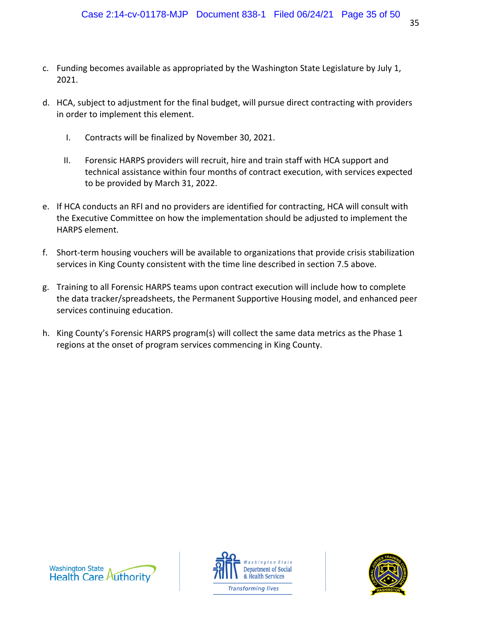- c. Funding becomes available as appropriated by the Washington State Legislature by July 1, 2021.
- d. HCA, subject to adjustment for the final budget, will pursue direct contracting with providers in order to implement this element.
	- I. Contracts will be finalized by November 30, 2021.
	- II. Forensic HARPS providers will recruit, hire and train staff with HCA support and technical assistance within four months of contract execution, with services expected to be provided by March 31, 2022.
- e. If HCA conducts an RFI and no providers are identified for contracting, HCA will consult with the Executive Committee on how the implementation should be adjusted to implement the HARPS element.
- f. Short-term housing vouchers will be available to organizations that provide crisis stabilization services in King County consistent with the time line described in section 7.5 above.
- g. Training to all Forensic HARPS teams upon contract execution will include how to complete the data tracker/spreadsheets, the Permanent Supportive Housing model, and enhanced peer services continuing education.
- h. King County's Forensic HARPS program(s) will collect the same data metrics as the Phase 1 regions at the onset of program services commencing in King County.





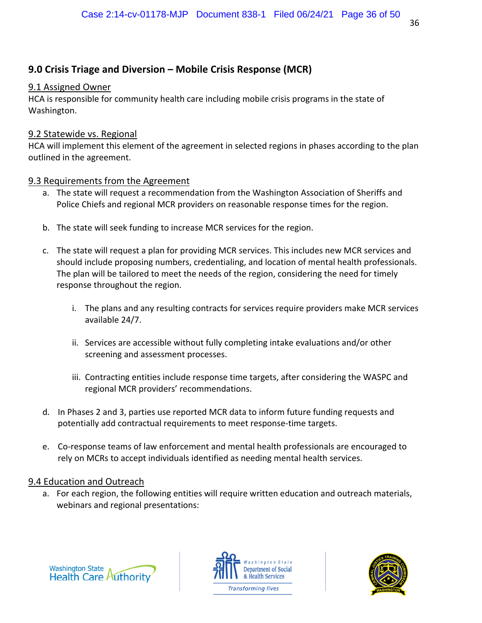# **9.0 Crisis Triage and Diversion – Mobile Crisis Response (MCR)**

#### 9.1 Assigned Owner

HCA is responsible for community health care including mobile crisis programs in the state of Washington.

#### 9.2 Statewide vs. Regional

HCA will implement this element of the agreement in selected regions in phases according to the plan outlined in the agreement.

#### 9.3 Requirements from the Agreement

- a. The state will request a recommendation from the Washington Association of Sheriffs and Police Chiefs and regional MCR providers on reasonable response times for the region.
- b. The state will seek funding to increase MCR services for the region.
- c. The state will request a plan for providing MCR services. This includes new MCR services and should include proposing numbers, credentialing, and location of mental health professionals. The plan will be tailored to meet the needs of the region, considering the need for timely response throughout the region.
	- i. The plans and any resulting contracts for services require providers make MCR services available 24/7.
	- ii. Services are accessible without fully completing intake evaluations and/or other screening and assessment processes.
	- iii. Contracting entities include response time targets, after considering the WASPC and regional MCR providers' recommendations.
- d. In Phases 2 and 3, parties use reported MCR data to inform future funding requests and potentially add contractual requirements to meet response‐time targets.
- e. Co‐response teams of law enforcement and mental health professionals are encouraged to rely on MCRs to accept individuals identified as needing mental health services.

## 9.4 Education and Outreach

a. For each region, the following entities will require written education and outreach materials, webinars and regional presentations:





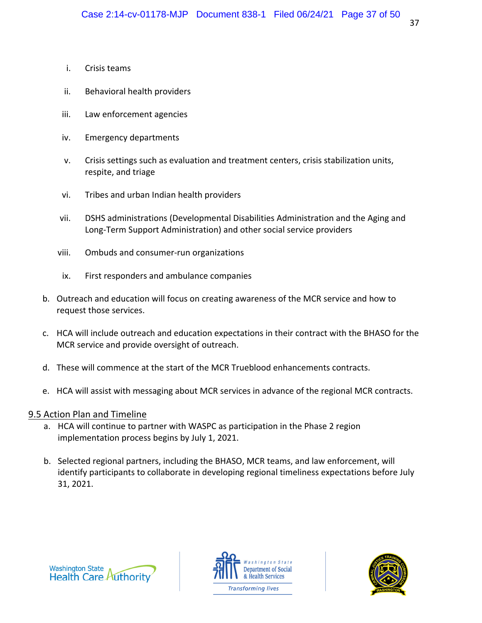- i. Crisis teams
- ii. Behavioral health providers
- iii. Law enforcement agencies
- iv. Emergency departments
- v. Crisis settings such as evaluation and treatment centers, crisis stabilization units, respite, and triage
- vi. Tribes and urban Indian health providers
- vii. DSHS administrations (Developmental Disabilities Administration and the Aging and Long‐Term Support Administration) and other social service providers
- viii. Ombuds and consumer‐run organizations
- ix. First responders and ambulance companies
- b. Outreach and education will focus on creating awareness of the MCR service and how to request those services.
- c. HCA will include outreach and education expectations in their contract with the BHASO for the MCR service and provide oversight of outreach.
- d. These will commence at the start of the MCR Trueblood enhancements contracts.
- e. HCA will assist with messaging about MCR services in advance of the regional MCR contracts.

- a. HCA will continue to partner with WASPC as participation in the Phase 2 region implementation process begins by July 1, 2021.
- b. Selected regional partners, including the BHASO, MCR teams, and law enforcement, will identify participants to collaborate in developing regional timeliness expectations before July 31, 2021.





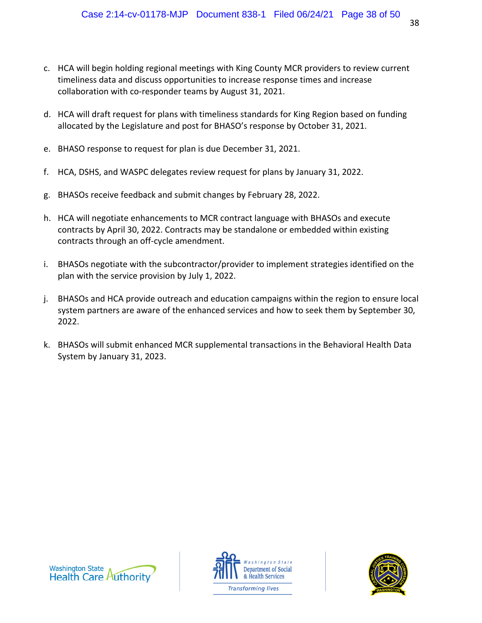- c. HCA will begin holding regional meetings with King County MCR providers to review current timeliness data and discuss opportunities to increase response times and increase collaboration with co‐responder teams by August 31, 2021.
- d. HCA will draft request for plans with timeliness standards for King Region based on funding allocated by the Legislature and post for BHASO's response by October 31, 2021.
- e. BHASO response to request for plan is due December 31, 2021.
- f. HCA, DSHS, and WASPC delegates review request for plans by January 31, 2022.
- g. BHASOs receive feedback and submit changes by February 28, 2022.
- h. HCA will negotiate enhancements to MCR contract language with BHASOs and execute contracts by April 30, 2022. Contracts may be standalone or embedded within existing contracts through an off‐cycle amendment.
- i. BHASOs negotiate with the subcontractor/provider to implement strategies identified on the plan with the service provision by July 1, 2022.
- j. BHASOs and HCA provide outreach and education campaigns within the region to ensure local system partners are aware of the enhanced services and how to seek them by September 30, 2022.
- k. BHASOs will submit enhanced MCR supplemental transactions in the Behavioral Health Data System by January 31, 2023.





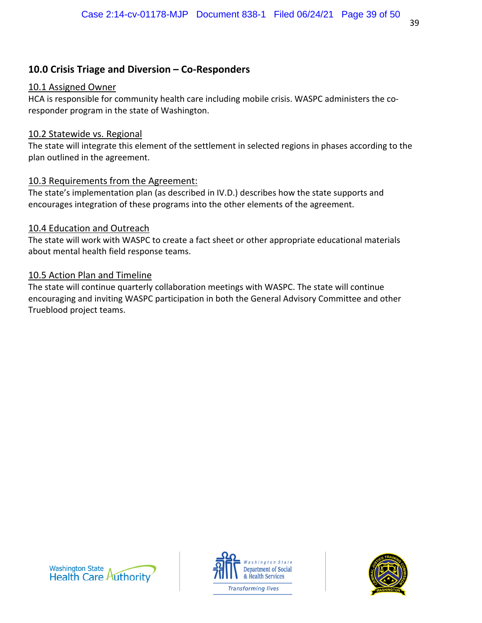# **10.0 Crisis Triage and Diversion – Co-Responders**

## 10.1 Assigned Owner

HCA is responsible for community health care including mobile crisis. WASPC administers the coresponder program in the state of Washington.

## 10.2 Statewide vs. Regional

The state will integrate this element of the settlement in selected regions in phases according to the plan outlined in the agreement.

# 10.3 Requirements from the Agreement:

The state's implementation plan (as described in IV.D.) describes how the state supports and encourages integration of these programs into the other elements of the agreement.

# 10.4 Education and Outreach

The state will work with WASPC to create a fact sheet or other appropriate educational materials about mental health field response teams.

# 10.5 Action Plan and Timeline

The state will continue quarterly collaboration meetings with WASPC. The state will continue encouraging and inviting WASPC participation in both the General Advisory Committee and other Trueblood project teams.





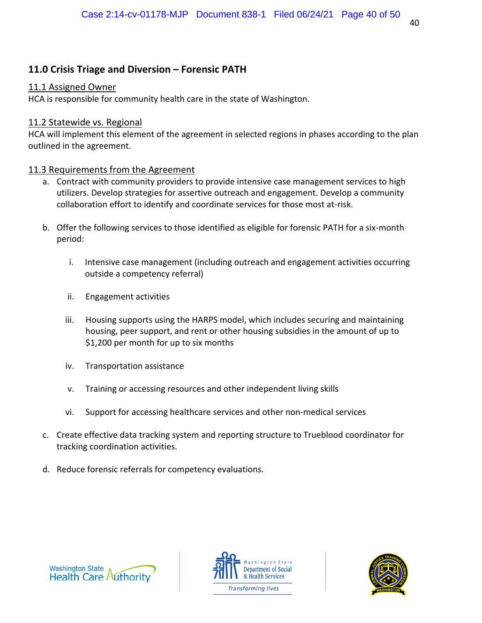# **11.0 Crisis Triage and Diversion – Forensic PATH**

#### 11.1 Assigned Owner

HCA is responsible for community health care in the state of Washington.

## 11.2 Statewide vs. Regional

HCA will implement this element of the agreement in selected regions in phases according to the plan outlined in the agreement.

# 11.3 Requirements from the Agreement

- a. Contract with community providers to provide intensive case management services to high utilizers. Develop strategies for assertive outreach and engagement. Develop a community collaboration effort to identify and coordinate services for those most at‐risk.
- b. Offer the following services to those identified as eligible for forensic PATH for a six‐month period:
	- i. Intensive case management (including outreach and engagement activities occurring outside a competency referral)
	- ii. Engagement activities
	- iii. Housing supports using the HARPS model, which includes securing and maintaining housing, peer support, and rent or other housing subsidies in the amount of up to \$1,200 per month for up to six months
	- iv. Transportation assistance
	- v. Training or accessing resources and other independent living skills
	- vi. Support for accessing healthcare services and other non‐medical services
- c. Create effective data tracking system and reporting structure to Trueblood coordinator for tracking coordination activities.
- d. Reduce forensic referrals for competency evaluations.





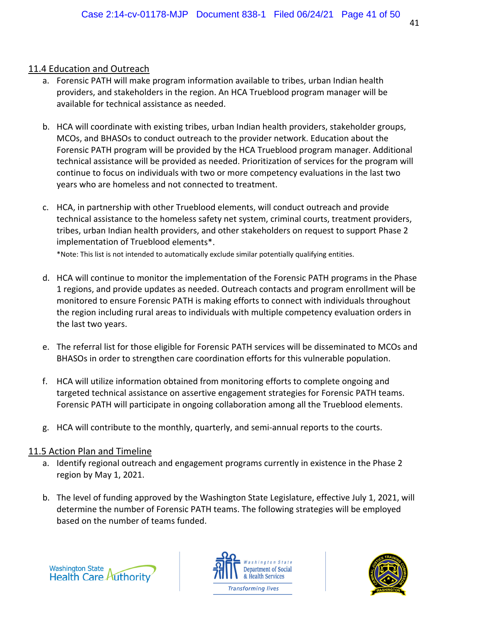## 11.4 Education and Outreach

- a. Forensic PATH will make program information available to tribes, urban Indian health providers, and stakeholders in the region. An HCA Trueblood program manager will be available for technical assistance as needed.
- b. HCA will coordinate with existing tribes, urban Indian health providers, stakeholder groups, MCOs, and BHASOs to conduct outreach to the provider network. Education about the Forensic PATH program will be provided by the HCA Trueblood program manager. Additional technical assistance will be provided as needed. Prioritization of services for the program will continue to focus on individuals with two or more competency evaluations in the last two years who are homeless and not connected to treatment.
- c. HCA, in partnership with other Trueblood elements, will conduct outreach and provide technical assistance to the homeless safety net system, criminal courts, treatment providers, tribes, urban Indian health providers, and other stakeholders on request to support Phase 2 implementation of Trueblood elements\*.

\*Note: This list is not intended to automatically exclude similar potentially qualifying entities.

- d. HCA will continue to monitor the implementation of the Forensic PATH programs in the Phase 1 regions, and provide updates as needed. Outreach contacts and program enrollment will be monitored to ensure Forensic PATH is making efforts to connect with individuals throughout the region including rural areas to individuals with multiple competency evaluation orders in the last two years.
- e. The referral list for those eligible for Forensic PATH services will be disseminated to MCOs and BHASOs in order to strengthen care coordination efforts for this vulnerable population.
- f. HCA will utilize information obtained from monitoring efforts to complete ongoing and targeted technical assistance on assertive engagement strategies for Forensic PATH teams. Forensic PATH will participate in ongoing collaboration among all the Trueblood elements.
- g. HCA will contribute to the monthly, quarterly, and semi‐annual reports to the courts.

- a. Identify regional outreach and engagement programs currently in existence in the Phase 2 region by May 1, 2021.
- b. The level of funding approved by the Washington State Legislature, effective July 1, 2021, will determine the number of Forensic PATH teams. The following strategies will be employed based on the number of teams funded.





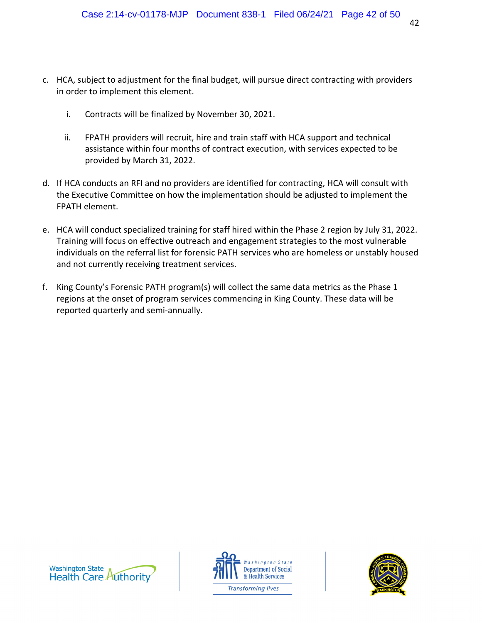- c. HCA, subject to adjustment for the final budget, will pursue direct contracting with providers in order to implement this element.
	- i. Contracts will be finalized by November 30, 2021.
	- ii. FPATH providers will recruit, hire and train staff with HCA support and technical assistance within four months of contract execution, with services expected to be provided by March 31, 2022.
- d. If HCA conducts an RFI and no providers are identified for contracting, HCA will consult with the Executive Committee on how the implementation should be adjusted to implement the FPATH element.
- e. HCA will conduct specialized training for staff hired within the Phase 2 region by July 31, 2022. Training will focus on effective outreach and engagement strategies to the most vulnerable individuals on the referral list for forensic PATH services who are homeless or unstably housed and not currently receiving treatment services.
- f. King County's Forensic PATH program(s) will collect the same data metrics as the Phase 1 regions at the onset of program services commencing in King County. These data will be reported quarterly and semi‐annually.





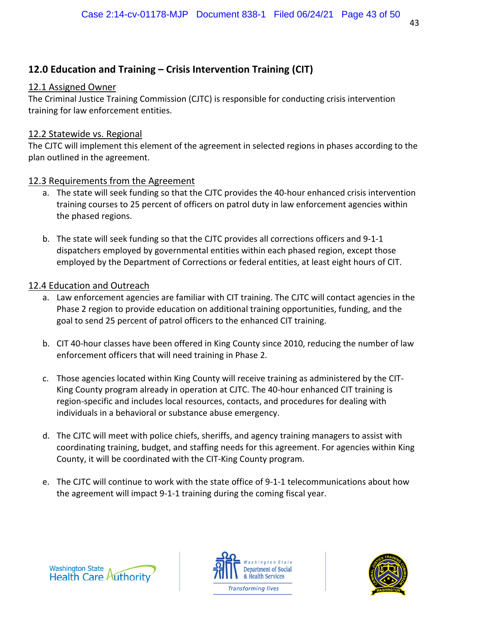# **12.0 Education and Training – Crisis Intervention Training (CIT)**

## 12.1 Assigned Owner

The Criminal Justice Training Commission (CJTC) is responsible for conducting crisis intervention training for law enforcement entities.

## 12.2 Statewide vs. Regional

The CJTC will implement this element of the agreement in selected regions in phases according to the plan outlined in the agreement.

# 12.3 Requirements from the Agreement

- a. The state will seek funding so that the CJTC provides the 40‐hour enhanced crisis intervention training courses to 25 percent of officers on patrol duty in law enforcement agencies within the phased regions.
- b. The state will seek funding so that the CJTC provides all corrections officers and 9‐1‐1 dispatchers employed by governmental entities within each phased region, except those employed by the Department of Corrections or federal entities, at least eight hours of CIT.

# 12.4 Education and Outreach

- a. Law enforcement agencies are familiar with CIT training. The CJTC will contact agencies in the Phase 2 region to provide education on additional training opportunities, funding, and the goal to send 25 percent of patrol officers to the enhanced CIT training.
- b. CIT 40‐hour classes have been offered in King County since 2010, reducing the number of law enforcement officers that will need training in Phase 2.
- c. Those agencies located within King County will receive training as administered by the CIT‐ King County program already in operation at CJTC. The 40-hour enhanced CIT training is region‐specific and includes local resources, contacts, and procedures for dealing with individuals in a behavioral or substance abuse emergency.
- d. The CJTC will meet with police chiefs, sheriffs, and agency training managers to assist with coordinating training, budget, and staffing needs for this agreement. For agencies within King County, it will be coordinated with the CIT‐King County program.
- e. The CJTC will continue to work with the state office of 9‐1‐1 telecommunications about how the agreement will impact 9‐1‐1 training during the coming fiscal year.





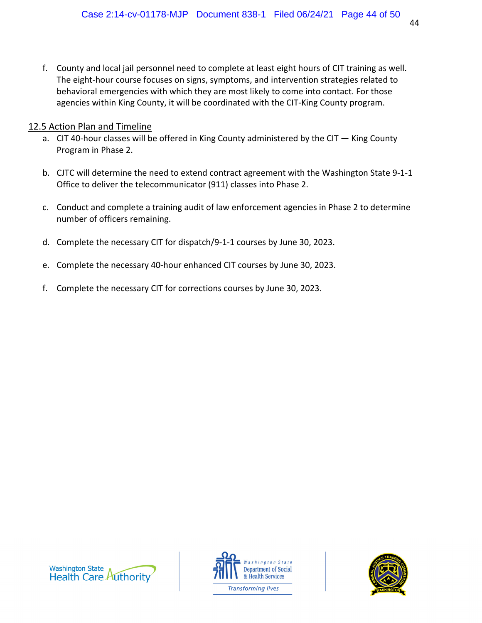f. County and local jail personnel need to complete at least eight hours of CIT training as well. The eight-hour course focuses on signs, symptoms, and intervention strategies related to behavioral emergencies with which they are most likely to come into contact. For those agencies within King County, it will be coordinated with the CIT‐King County program.

- a. CIT 40-hour classes will be offered in King County administered by the CIT King County Program in Phase 2.
- b. CJTC will determine the need to extend contract agreement with the Washington State 9‐1‐1 Office to deliver the telecommunicator (911) classes into Phase 2.
- c. Conduct and complete a training audit of law enforcement agencies in Phase 2 to determine number of officers remaining.
- d. Complete the necessary CIT for dispatch/9‐1‐1 courses by June 30, 2023.
- e. Complete the necessary 40‐hour enhanced CIT courses by June 30, 2023.
- f. Complete the necessary CIT for corrections courses by June 30, 2023.





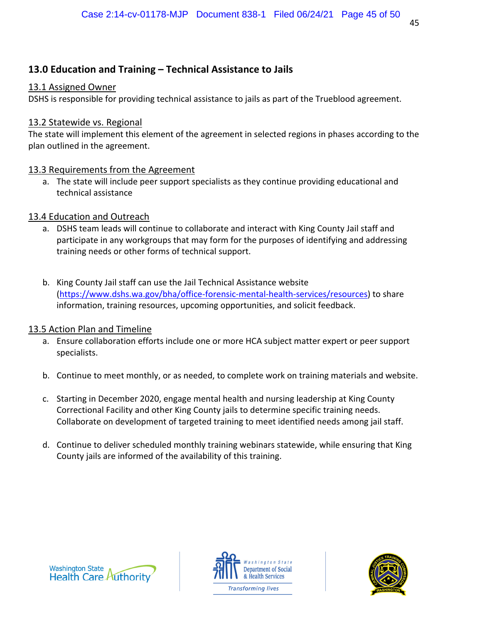# **13.0 Education and Training – Technical Assistance to Jails**

## 13.1 Assigned Owner

DSHS is responsible for providing technical assistance to jails as part of the Trueblood agreement.

## 13.2 Statewide vs. Regional

The state will implement this element of the agreement in selected regions in phases according to the plan outlined in the agreement.

## 13.3 Requirements from the Agreement

a. The state will include peer support specialists as they continue providing educational and technical assistance

# 13.4 Education and Outreach

- a. DSHS team leads will continue to collaborate and interact with King County Jail staff and participate in any workgroups that may form for the purposes of identifying and addressing training needs or other forms of technical support.
- b. King County Jail staff can use the Jail Technical Assistance website (https://www.dshs.wa.gov/bha/office‐forensic‐mental‐health‐services/resources) to share information, training resources, upcoming opportunities, and solicit feedback.

- a. Ensure collaboration efforts include one or more HCA subject matter expert or peer support specialists.
- b. Continue to meet monthly, or as needed, to complete work on training materials and website.
- c. Starting in December 2020, engage mental health and nursing leadership at King County Correctional Facility and other King County jails to determine specific training needs. Collaborate on development of targeted training to meet identified needs among jail staff.
- d. Continue to deliver scheduled monthly training webinars statewide, while ensuring that King County jails are informed of the availability of this training.





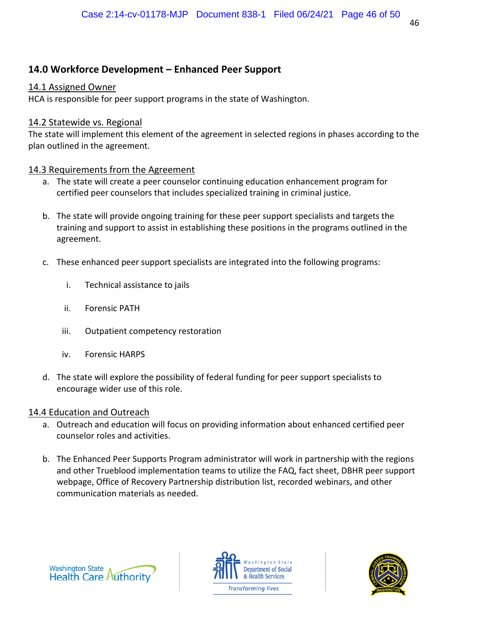# **14.0 Workforce Development – Enhanced Peer Support**

#### 14.1 Assigned Owner

HCA is responsible for peer support programs in the state of Washington.

## 14.2 Statewide vs. Regional

The state will implement this element of the agreement in selected regions in phases according to the plan outlined in the agreement.

## 14.3 Requirements from the Agreement

- a. The state will create a peer counselor continuing education enhancement program for certified peer counselors that includes specialized training in criminal justice.
- b. The state will provide ongoing training for these peer support specialists and targets the training and support to assist in establishing these positions in the programs outlined in the agreement.
- c. These enhanced peer support specialists are integrated into the following programs:
	- i. Technical assistance to jails
	- ii. Forensic PATH
	- iii. Outpatient competency restoration
	- iv. Forensic HARPS
- d. The state will explore the possibility of federal funding for peer support specialists to encourage wider use of this role.

## 14.4 Education and Outreach

- a. Outreach and education will focus on providing information about enhanced certified peer counselor roles and activities.
- b. The Enhanced Peer Supports Program administrator will work in partnership with the regions and other Trueblood implementation teams to utilize the FAQ, fact sheet, DBHR peer support webpage, Office of Recovery Partnership distribution list, recorded webinars, and other communication materials as needed.





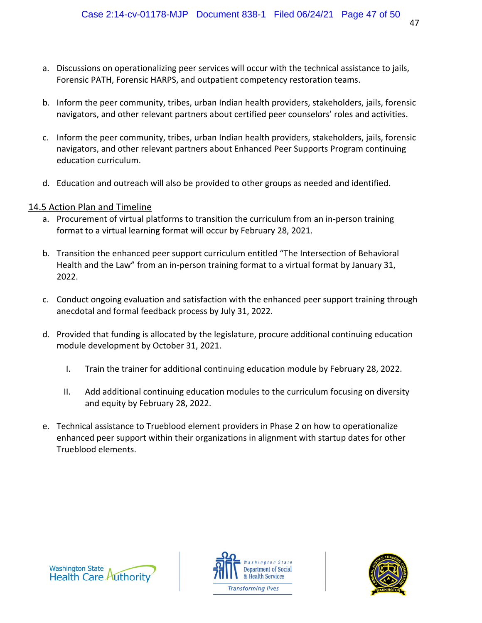- a. Discussions on operationalizing peer services will occur with the technical assistance to jails, Forensic PATH, Forensic HARPS, and outpatient competency restoration teams.
- b. Inform the peer community, tribes, urban Indian health providers, stakeholders, jails, forensic navigators, and other relevant partners about certified peer counselors' roles and activities.
- c. Inform the peer community, tribes, urban Indian health providers, stakeholders, jails, forensic navigators, and other relevant partners about Enhanced Peer Supports Program continuing education curriculum.
- d. Education and outreach will also be provided to other groups as needed and identified.

- a. Procurement of virtual platforms to transition the curriculum from an in‐person training format to a virtual learning format will occur by February 28, 2021.
- b. Transition the enhanced peer support curriculum entitled "The Intersection of Behavioral Health and the Law" from an in-person training format to a virtual format by January 31, 2022.
- c. Conduct ongoing evaluation and satisfaction with the enhanced peer support training through anecdotal and formal feedback process by July 31, 2022.
- d. Provided that funding is allocated by the legislature, procure additional continuing education module development by October 31, 2021.
	- I. Train the trainer for additional continuing education module by February 28, 2022.
	- II. Add additional continuing education modules to the curriculum focusing on diversity and equity by February 28, 2022.
- e. Technical assistance to Trueblood element providers in Phase 2 on how to operationalize enhanced peer support within their organizations in alignment with startup dates for other Trueblood elements.





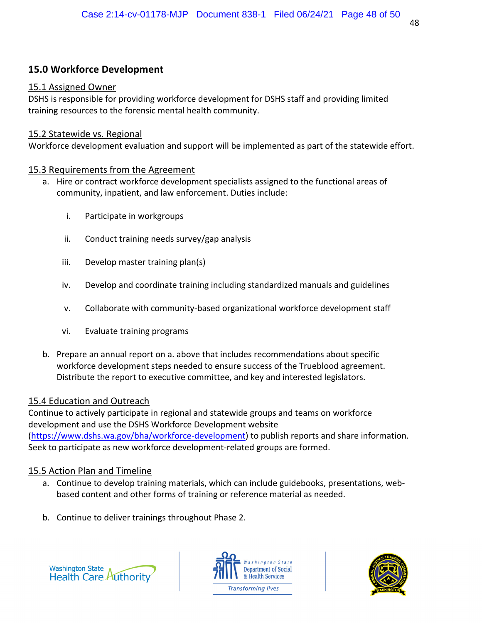# **15.0 Workforce Development**

## 15.1 Assigned Owner

DSHS is responsible for providing workforce development for DSHS staff and providing limited training resources to the forensic mental health community.

## 15.2 Statewide vs. Regional

Workforce development evaluation and support will be implemented as part of the statewide effort.

# 15.3 Requirements from the Agreement

- a. Hire or contract workforce development specialists assigned to the functional areas of community, inpatient, and law enforcement. Duties include:
	- i. Participate in workgroups
	- ii. Conduct training needs survey/gap analysis
	- iii. Develop master training plan(s)
	- iv. Develop and coordinate training including standardized manuals and guidelines
	- v. Collaborate with community‐based organizational workforce development staff
	- vi. Evaluate training programs
- b. Prepare an annual report on a. above that includes recommendations about specific workforce development steps needed to ensure success of the Trueblood agreement. Distribute the report to executive committee, and key and interested legislators.

# 15.4 Education and Outreach

Continue to actively participate in regional and statewide groups and teams on workforce development and use the DSHS Workforce Development website (https://www.dshs.wa.gov/bha/workforce-development) to publish reports and share information. Seek to participate as new workforce development‐related groups are formed.

- a. Continue to develop training materials, which can include guidebooks, presentations, web‐ based content and other forms of training or reference material as needed.
- b. Continue to deliver trainings throughout Phase 2.





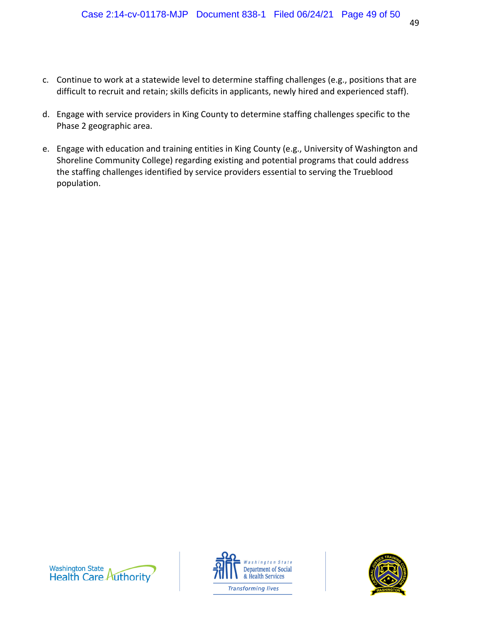- c. Continue to work at a statewide level to determine staffing challenges (e.g., positions that are difficult to recruit and retain; skills deficits in applicants, newly hired and experienced staff).
- d. Engage with service providers in King County to determine staffing challenges specific to the Phase 2 geographic area.
- e. Engage with education and training entities in King County (e.g., University of Washington and Shoreline Community College) regarding existing and potential programs that could address the staffing challenges identified by service providers essential to serving the Trueblood population.